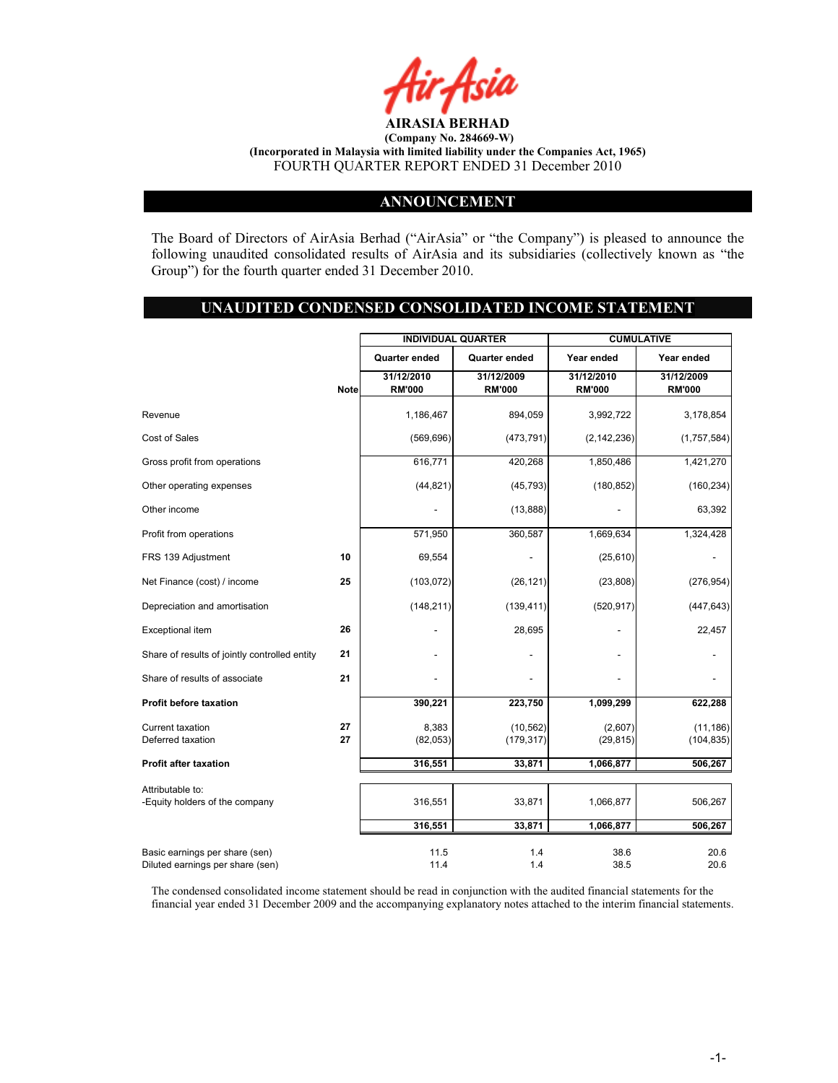

#### ANNOUNCEMENT

The Board of Directors of AirAsia Berhad ("AirAsia" or "the Company") is pleased to announce the following unaudited consolidated results of AirAsia and its subsidiaries (collectively known as "the Group") for the fourth quarter ended 31 December 2010.

#### UNAUDITED CONDENSED CONSOLIDATED INCOME STATEMENT

|                                                                    |             |                             | <b>INDIVIDUAL QUARTER</b>   |                             | <b>CUMULATIVE</b>           |
|--------------------------------------------------------------------|-------------|-----------------------------|-----------------------------|-----------------------------|-----------------------------|
|                                                                    |             | Quarter ended               | Quarter ended               | Year ended                  | Year ended                  |
|                                                                    | <b>Note</b> | 31/12/2010<br><b>RM'000</b> | 31/12/2009<br><b>RM'000</b> | 31/12/2010<br><b>RM'000</b> | 31/12/2009<br><b>RM'000</b> |
| Revenue                                                            |             | 1,186,467                   | 894,059                     | 3,992,722                   | 3,178,854                   |
| Cost of Sales                                                      |             | (569, 696)                  | (473, 791)                  | (2, 142, 236)               | (1,757,584)                 |
| Gross profit from operations                                       |             | 616,771                     | 420,268                     | 1,850,486                   | 1,421,270                   |
| Other operating expenses                                           |             | (44, 821)                   | (45, 793)                   | (180, 852)                  | (160, 234)                  |
| Other income                                                       |             |                             | (13,888)                    |                             | 63,392                      |
| Profit from operations                                             |             | 571,950                     | 360,587                     | 1,669,634                   | 1,324,428                   |
| FRS 139 Adjustment                                                 | 10          | 69,554                      |                             | (25, 610)                   |                             |
| Net Finance (cost) / income                                        | 25          | (103, 072)                  | (26, 121)                   | (23, 808)                   | (276, 954)                  |
| Depreciation and amortisation                                      |             | (148, 211)                  | (139, 411)                  | (520, 917)                  | (447, 643)                  |
| Exceptional item                                                   | 26          |                             | 28,695                      |                             | 22,457                      |
| Share of results of jointly controlled entity                      | 21          |                             |                             |                             |                             |
| Share of results of associate                                      | 21          |                             |                             |                             |                             |
| <b>Profit before taxation</b>                                      |             | 390,221                     | 223,750                     | 1,099,299                   | 622,288                     |
| Current taxation<br>Deferred taxation                              | 27<br>27    | 8,383<br>(82,053)           | (10, 562)<br>(179, 317)     | (2,607)<br>(29, 815)        | (11, 186)<br>(104, 835)     |
| <b>Profit after taxation</b>                                       |             | 316,551                     | 33,871                      | 1,066,877                   | 506,267                     |
| Attributable to:<br>-Equity holders of the company                 |             | 316,551                     | 33,871                      | 1,066,877                   | 506,267                     |
|                                                                    |             | 316,551                     | 33,871                      | 1,066,877                   | 506,267                     |
| Basic earnings per share (sen)<br>Diluted earnings per share (sen) |             | 11.5<br>11.4                | 1.4<br>1.4                  | 38.6<br>38.5                | 20.6<br>20.6                |

The condensed consolidated income statement should be read in conjunction with the audited financial statements for the financial year ended 31 December 2009 and the accompanying explanatory notes attached to the interim financial statements.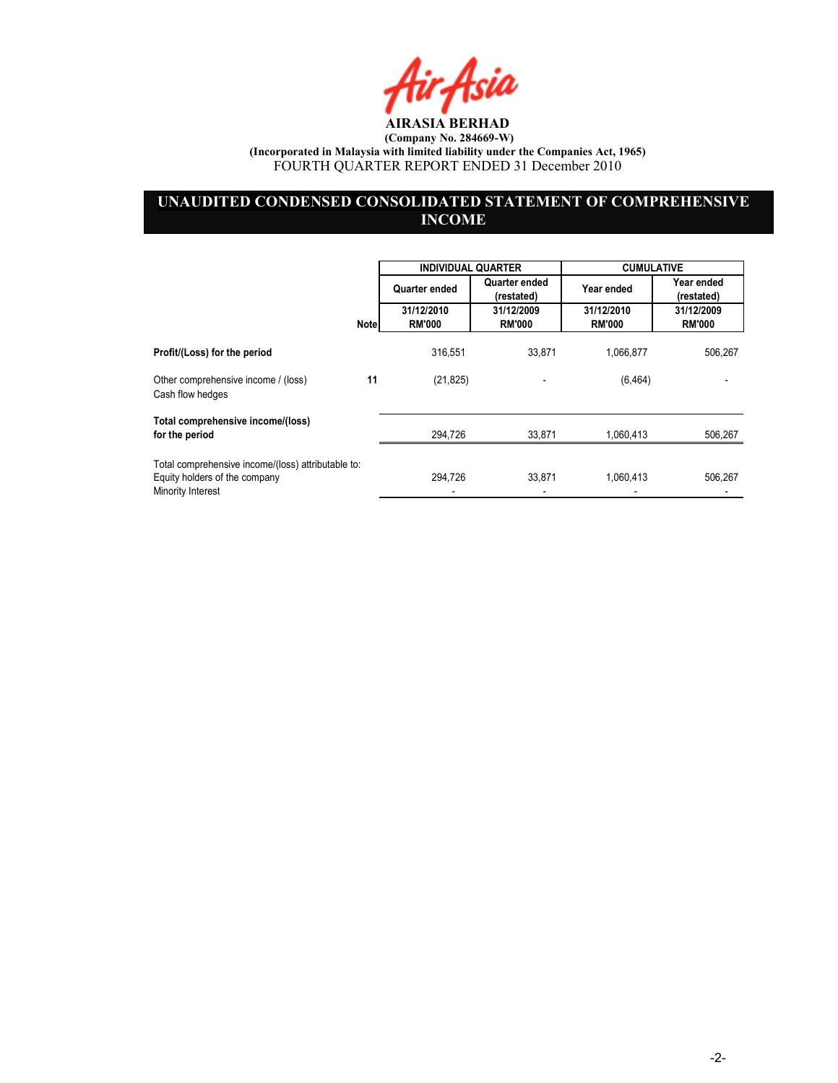Air Asia

# UNAUDITED CONDENSED CONSOLIDATED STATEMENT OF COMPREHENSIVE **INCOME**

|                                                                                                          |             | <b>INDIVIDUAL QUARTER</b> |                             | <b>CUMULATIVE</b> |                          |
|----------------------------------------------------------------------------------------------------------|-------------|---------------------------|-----------------------------|-------------------|--------------------------|
|                                                                                                          |             | Quarter ended             | Quarter ended<br>(restated) | Year ended        | Year ended<br>(restated) |
|                                                                                                          |             | 31/12/2010                | 31/12/2009                  | 31/12/2010        | 31/12/2009               |
|                                                                                                          | <b>Note</b> | <b>RM'000</b>             | <b>RM'000</b>               | <b>RM'000</b>     | <b>RM'000</b>            |
| Profit/(Loss) for the period                                                                             |             | 316,551                   | 33,871                      | 1,066,877         | 506,267                  |
| Other comprehensive income / (loss)<br>Cash flow hedges                                                  | 11          | (21, 825)                 |                             | (6, 464)          |                          |
| Total comprehensive income/(loss)                                                                        |             |                           |                             |                   |                          |
| for the period                                                                                           |             | 294,726                   | 33,871                      | 1,060,413         | 506,267                  |
| Total comprehensive income/(loss) attributable to:<br>Equity holders of the company<br>Minority Interest |             | 294.726                   | 33.871                      | 1,060,413         | 506,267                  |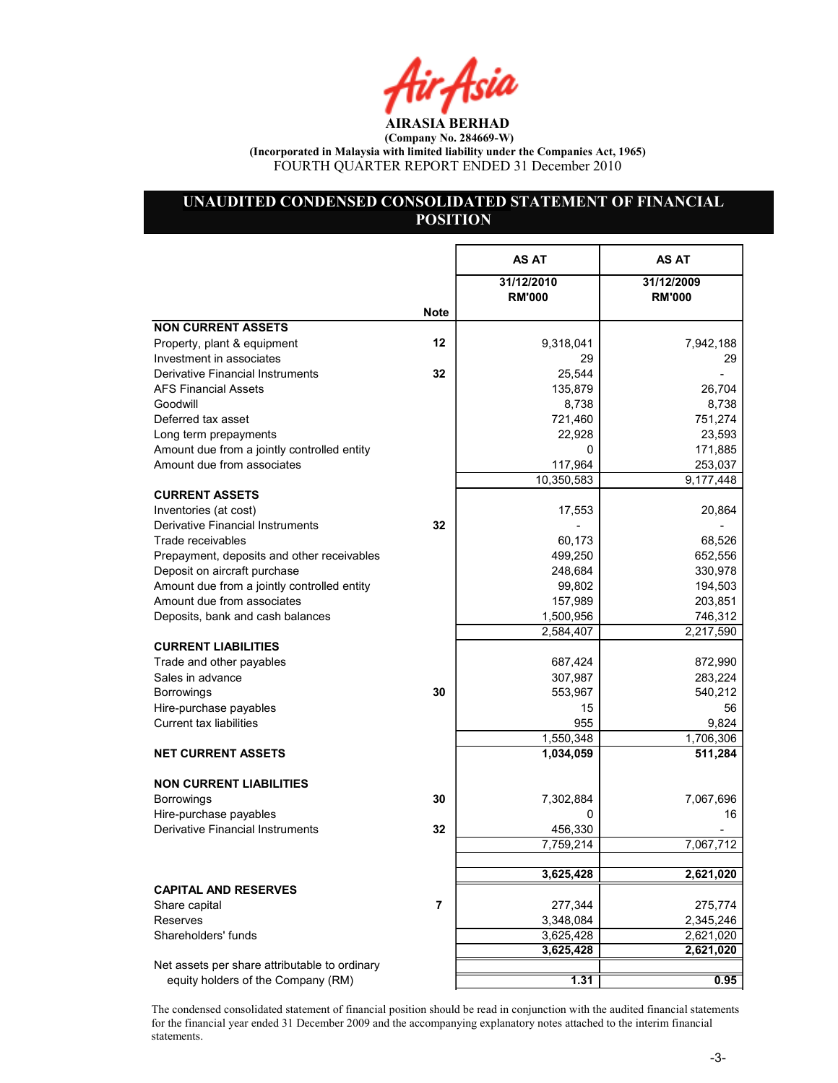Air Asia

# UNAUDITED CONDENSED CONSOLIDATED STATEMENT OF FINANCIAL **POSITION**

|                                                                            |      | AS AT                       | <b>AS AT</b>                |
|----------------------------------------------------------------------------|------|-----------------------------|-----------------------------|
|                                                                            |      | 31/12/2010<br><b>RM'000</b> | 31/12/2009<br><b>RM'000</b> |
|                                                                            | Note |                             |                             |
| <b>NON CURRENT ASSETS</b>                                                  |      |                             |                             |
| Property, plant & equipment                                                | 12   | 9,318,041                   | 7,942,188                   |
| Investment in associates                                                   |      | 29                          | 29                          |
| Derivative Financial Instruments                                           | 32   | 25,544                      |                             |
| <b>AFS Financial Assets</b>                                                |      | 135,879                     | 26,704                      |
| Goodwill                                                                   |      | 8,738                       | 8,738                       |
| Deferred tax asset                                                         |      | 721,460                     | 751,274                     |
| Long term prepayments                                                      |      | 22,928                      | 23,593                      |
| Amount due from a jointly controlled entity                                |      | 0                           | 171,885                     |
| Amount due from associates                                                 |      | 117,964                     | 253,037                     |
|                                                                            |      | 10,350,583                  | 9,177,448                   |
| <b>CURRENT ASSETS</b>                                                      |      |                             |                             |
| Inventories (at cost)                                                      |      | 17,553                      | 20,864                      |
| Derivative Financial Instruments<br>Trade receivables                      | 32   |                             |                             |
|                                                                            |      | 60,173                      | 68,526                      |
| Prepayment, deposits and other receivables<br>Deposit on aircraft purchase |      | 499,250                     | 652,556                     |
| Amount due from a jointly controlled entity                                |      | 248,684<br>99,802           | 330,978                     |
| Amount due from associates                                                 |      | 157,989                     | 194,503<br>203,851          |
| Deposits, bank and cash balances                                           |      | 1,500,956                   | 746,312                     |
|                                                                            |      | 2,584,407                   | 2,217,590                   |
| <b>CURRENT LIABILITIES</b>                                                 |      |                             |                             |
| Trade and other payables                                                   |      | 687,424                     | 872,990                     |
| Sales in advance                                                           |      | 307,987                     | 283,224                     |
| <b>Borrowings</b>                                                          | 30   | 553,967                     | 540,212                     |
| Hire-purchase payables                                                     |      | 15                          | 56                          |
| <b>Current tax liabilities</b>                                             |      | 955                         | 9,824                       |
|                                                                            |      | 1,550,348                   | 1,706,306                   |
| <b>NET CURRENT ASSETS</b>                                                  |      | 1,034,059                   | 511,284                     |
|                                                                            |      |                             |                             |
| <b>NON CURRENT LIABILITIES</b>                                             |      |                             |                             |
| <b>Borrowings</b>                                                          | 30   | 7,302,884                   | 7,067,696                   |
| Hire-purchase payables                                                     |      | 0                           | 16                          |
| Derivative Financial Instruments                                           | 32   | 456,330                     |                             |
|                                                                            |      | 7,759,214                   | 7,067,712                   |
|                                                                            |      |                             |                             |
|                                                                            |      | 3,625,428                   | 2,621,020                   |
| <b>CAPITAL AND RESERVES</b>                                                |      |                             |                             |
| Share capital                                                              | 7    | 277,344                     | 275,774                     |
| <b>Reserves</b>                                                            |      | 3,348,084                   | 2,345,246                   |
| Shareholders' funds                                                        |      | 3,625,428                   | 2,621,020                   |
|                                                                            |      | 3,625,428                   | 2,621,020                   |
| Net assets per share attributable to ordinary                              |      |                             |                             |
| equity holders of the Company (RM)                                         |      | 1.31                        | 0.95                        |

The condensed consolidated statement of financial position should be read in conjunction with the audited financial statements for the financial year ended 31 December 2009 and the accompanying explanatory notes attached to the interim financial statements.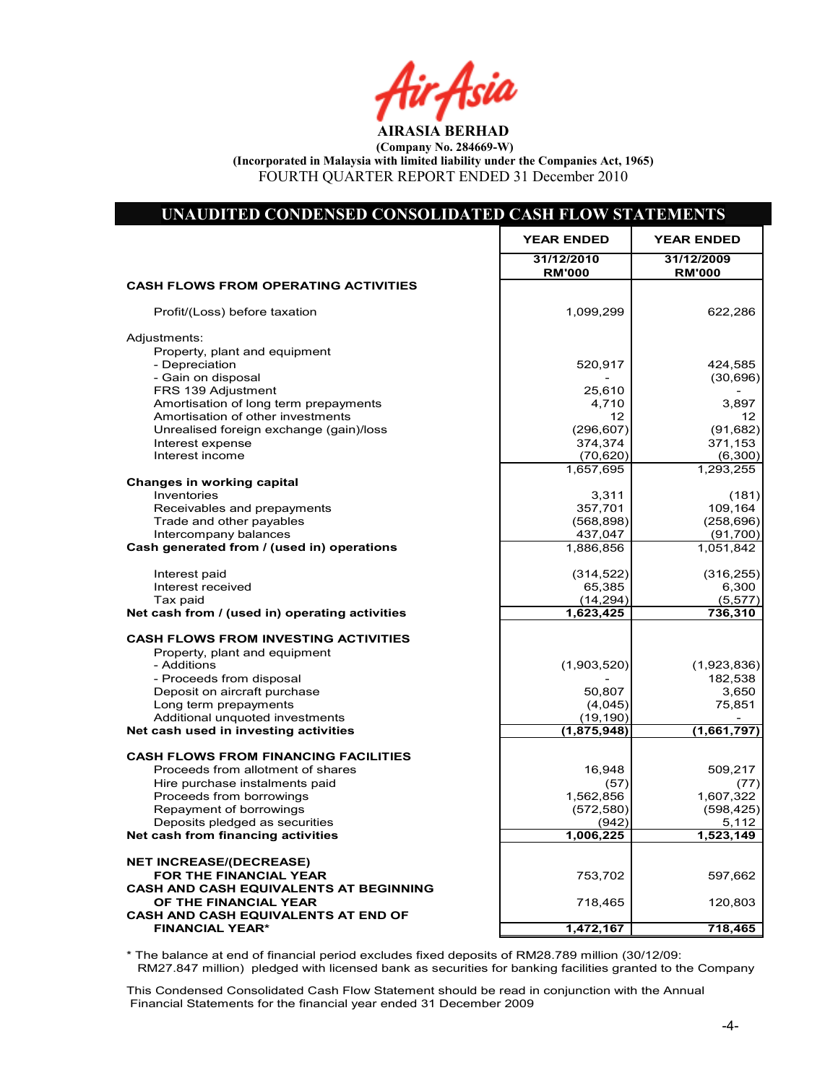r Asia

AIRASIA BERHAD (Company No. 284669-W) (Incorporated in Malaysia with limited liability under the Companies Act, 1965)

FOURTH QUARTER REPORT ENDED 31 December 2010

| UNAUDITED CONDENSED CONSOLIDATED CASH FLOW STATEMENTS                |                             |                             |
|----------------------------------------------------------------------|-----------------------------|-----------------------------|
|                                                                      | <b>YEAR ENDED</b>           | <b>YEAR ENDED</b>           |
|                                                                      | 31/12/2010<br><b>RM'000</b> | 31/12/2009<br><b>RM'000</b> |
| <b>CASH FLOWS FROM OPERATING ACTIVITIES</b>                          |                             |                             |
| Profit/(Loss) before taxation                                        | 1,099,299                   | 622,286                     |
| Adjustments:                                                         |                             |                             |
| Property, plant and equipment<br>- Depreciation                      |                             |                             |
| - Gain on disposal                                                   | 520,917                     | 424,585<br>(30, 696)        |
| FRS 139 Adjustment                                                   | 25,610                      |                             |
| Amortisation of long term prepayments                                | 4,710                       | 3,897                       |
| Amortisation of other investments                                    | 12                          | 12                          |
| Unrealised foreign exchange (gain)/loss                              | (296, 607)                  | (91, 682)                   |
| Interest expense                                                     | 374,374                     | 371,153                     |
| Interest income                                                      | (70, 620)<br>1,657,695      | (6,300)<br>1,293,255        |
| <b>Changes in working capital</b>                                    |                             |                             |
| Inventories                                                          | 3,311                       | (181)                       |
| Receivables and prepayments                                          | 357,701                     | 109,164                     |
| Trade and other payables                                             | (568, 898)                  | (258, 696)                  |
| Intercompany balances                                                | 437,047                     | (91, 700)                   |
| Cash generated from / (used in) operations                           | 1,886,856                   | 1,051,842                   |
| Interest paid                                                        | (314, 522)                  | (316, 255)                  |
| Interest received                                                    | 65,385                      | 6,300                       |
| Tax paid                                                             | (14, 294)                   | (5, 577)                    |
| Net cash from / (used in) operating activities                       | 1,623,425                   | 736,310                     |
| <b>CASH FLOWS FROM INVESTING ACTIVITIES</b>                          |                             |                             |
| Property, plant and equipment                                        |                             |                             |
| - Additions                                                          | (1,903,520)                 | (1,923,836)                 |
| - Proceeds from disposal                                             |                             | 182,538                     |
| Deposit on aircraft purchase                                         | 50,807                      | 3,650                       |
| Long term prepayments                                                | (4,045)                     | 75,851                      |
| Additional unquoted investments                                      | (19, 190)                   |                             |
| Net cash used in investing activities                                | (1,875,948)                 | (1,661,797)                 |
| <b>CASH FLOWS FROM FINANCING FACILITIES</b>                          |                             |                             |
| Proceeds from allotment of shares                                    | 16,948                      | 509,217                     |
| Hire purchase instalments paid                                       | (57)                        | (77)                        |
| Proceeds from borrowings                                             | 1,562,856                   | 1,607,322                   |
| Repayment of borrowings                                              | (572, 580)                  | (598, 425)                  |
| Deposits pledged as securities<br>Net cash from financing activities | (942)<br>1,006,225          | 5,112<br>1,523,149          |
|                                                                      |                             |                             |
| <b>NET INCREASE/(DECREASE)</b>                                       |                             |                             |
| FOR THE FINANCIAL YEAR                                               | 753,702                     | 597,662                     |
| <b>CASH AND CASH EQUIVALENTS AT BEGINNING</b>                        |                             |                             |
| OF THE FINANCIAL YEAR                                                | 718,465                     | 120,803                     |
| <b>CASH AND CASH EQUIVALENTS AT END OF</b>                           |                             |                             |
| <b>FINANCIAL YEAR*</b>                                               | 1,472,167                   | 718,465                     |

\* The balance at end of financial period excludes fixed deposits of RM28.789 million (30/12/09: RM27.847 million) pledged with licensed bank as securities for banking facilities granted to the Company

Net Cash Flow 753,702 597,662

This Condensed Consolidated Cash Flow Statement should be read in conjunction with the Annual Financial Statements for the financial year ended 31 December 2009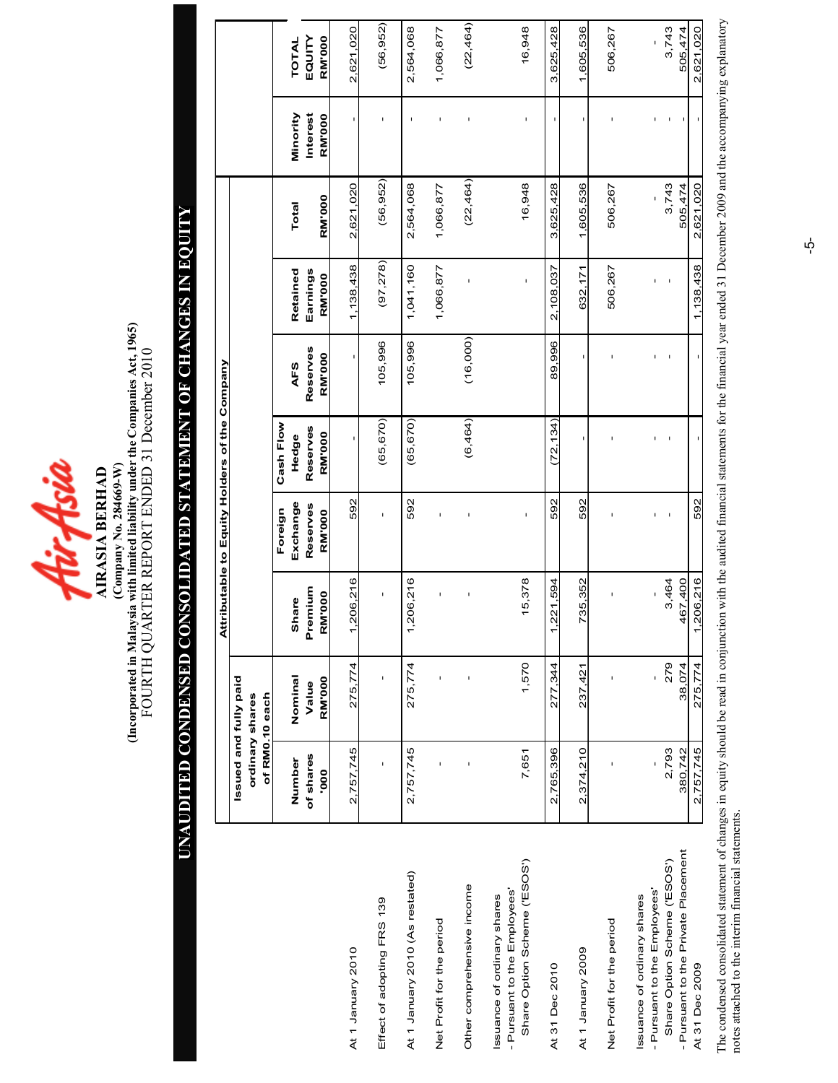

(Company No. 284669-W)<br>(Incorporated in Malaysia with limited liability under the Companies Act, 1965)<br>FOURTH QUARTER REPORT ENDED 31 December 2010 (Incorporated in Malaysia with limited liability under the Companies Act, 1965) FOURTH QUARTER REPORT ENDED 31 December 2010 (Company o. 284669-W) AIRASIA BERHAD

# UAUDITED CODESED COSOLIDATED STATEMET OF CHAGES I EQUITY UNAUDITED CONDENSED CONSOLIDATED STATEMENT OF CHANGES IN EQUITY

|                                                                                          |                                          |                        |                                    |                           | Attributable to Equity Holders of the Company |                           |                           |                  |                           |                         |
|------------------------------------------------------------------------------------------|------------------------------------------|------------------------|------------------------------------|---------------------------|-----------------------------------------------|---------------------------|---------------------------|------------------|---------------------------|-------------------------|
|                                                                                          | Issued and fully paid<br>ordinary shares | of RM0.10 each         |                                    |                           |                                               |                           |                           |                  |                           |                         |
|                                                                                          |                                          |                        |                                    | Foreign                   | Cash Flow                                     |                           |                           |                  |                           |                         |
|                                                                                          | Number                                   | Nominal                | Share                              | Exchange                  | Hedge                                         | AFS                       | Retained                  | Total            | Minority                  | TOTAL                   |
|                                                                                          | of shares<br>000.                        | <b>RM'000</b><br>Value | Premium<br><b>RM'000</b>           | Reserves<br><b>RM'000</b> | Reserves<br><b>RM'000</b>                     | Reserves<br><b>RM'000</b> | Earnings<br><b>RM'000</b> | <b>RM'000</b>    | Interest<br><b>RM'000</b> | EQUITY<br><b>RM'000</b> |
| At 1 January 2010                                                                        | 2,757,745                                | 275,774                | $-206,216$<br>$\blacktriangledown$ | 592                       | I.                                            |                           | 1,138,438                 | 2,621,020        | ı.                        | 2,621,020               |
| Effect of adopting FRS 139                                                               |                                          | ı                      | f,                                 | I                         | (65, 670)                                     | 105,996                   | (97, 278)                 | (56, 952)        |                           | (56, 952)               |
| At 1 January 2010 (As restated)                                                          | 2,757,745                                | 275,774                | 206,216<br>$\overline{ }$          | 592                       | (65, 670)                                     | 105,996                   | 1,041,160                 | 2,564,068        | f,                        | 2,564,068               |
| Net Profit for the period                                                                |                                          |                        | f,                                 | ı                         |                                               |                           | 1,066,877                 | 1,066,877        | ı                         | 1,066,877               |
| Other comprehensive income                                                               |                                          | I                      | I                                  |                           | (6,464)                                       | (16,000)                  | ï                         | (22, 464)        | I                         | (22, 464)               |
| Share Option Scheme ('ESOS')<br>Pursuant to the Employees'<br>ssuance of ordinary shares | 7,651                                    | 1,570                  | 15,378                             | ı                         |                                               |                           | $\mathsf I$               | 16,948           | ı                         | 16,948                  |
| At 31 Dec 2010                                                                           | 2,765,396                                | 277,344                | 221,594<br>۳                       | 592                       | (72, 134)                                     | 89,996                    | 2,108,037                 | 3,625,428        |                           | 3,625,428               |
| At 1 January 2009                                                                        | 2,374,210                                | 237,421                | 735,352                            | 592                       |                                               | ı                         | 632,171                   | 1,605,536        | ı                         | 1,605,536               |
| Net Profit for the period                                                                |                                          |                        | ı                                  |                           |                                               |                           | 506,267                   | 506,267          |                           | 506,267                 |
| Pursuant to the Employees'<br>ssuance of ordinary shares                                 |                                          | $\mathbf{I}$           |                                    | Ĭ.                        | ı                                             |                           | f,                        |                  |                           |                         |
| - Pursuant to the Private Placement<br>Share Option Scheme ('ESOS')                      | 2,793<br>380,742                         | 279<br>38,074          | 3,464<br>467,400                   |                           |                                               |                           |                           | 3,743<br>505,474 |                           | 3,743<br>505,474        |
| At 31 Dec 2009                                                                           | 2,757,745                                | 275,774                | 206,216                            | 592                       |                                               |                           | 1,138,438                 | 2,621,020        |                           | 2,621,020               |

The condensed consolidated statement of changes in equity should be read in conjunction with the audited financial statements for the financial year ended 31 December 2009 and the accompanying explanatory<br>notes attached to The condensed consolidated statement of changes in equity should be read in conjunction with the audited financial statements for the financial year ended 31 December 2009 and the accompanying explanatory notes attached to the interim financial statements.

 $\vec{\mathsf{p}}$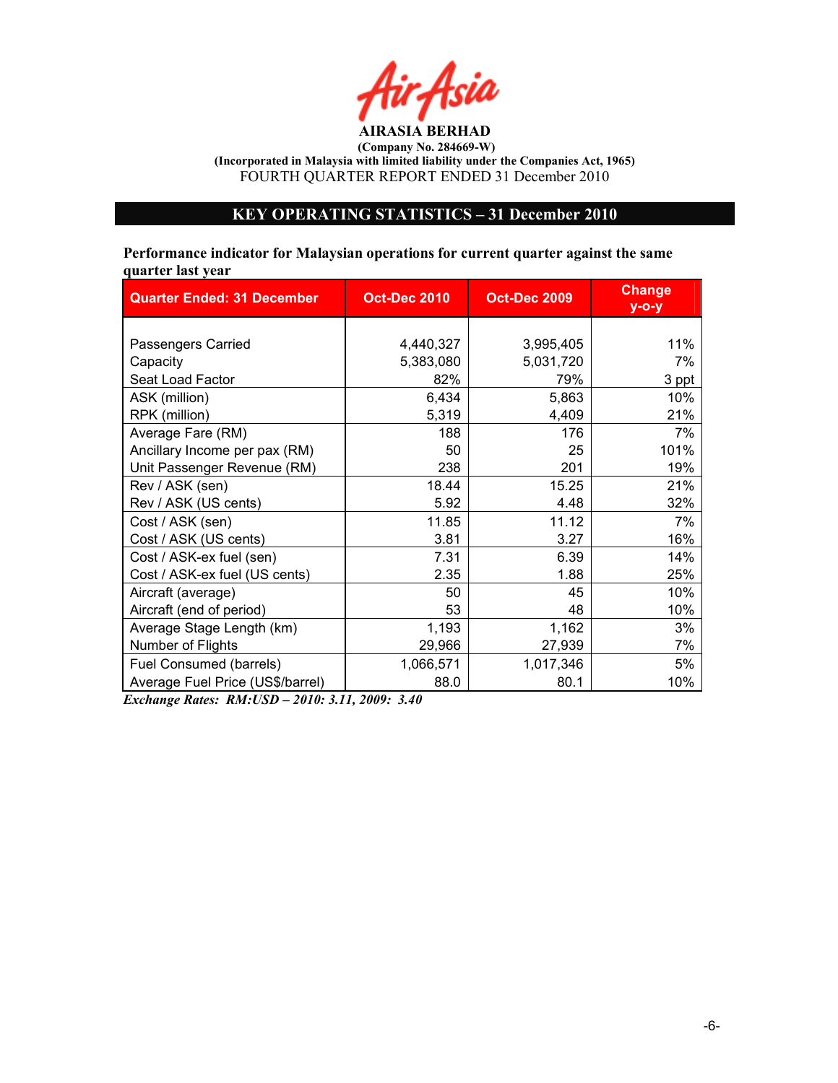

# KEY OPERATIG STATISTICS – 31 December 2010

Performance indicator for Malaysian operations for current quarter against the same quarter last year

| <b>Quarter Ended: 31 December</b> | <b>Oct-Dec 2010</b> | <b>Oct-Dec 2009</b> | <b>Change</b><br>$y$ -o-y |
|-----------------------------------|---------------------|---------------------|---------------------------|
|                                   |                     |                     |                           |
| Passengers Carried                | 4,440,327           | 3,995,405           | 11%                       |
| Capacity                          | 5,383,080           | 5,031,720           | 7%                        |
| Seat Load Factor                  | 82%                 | 79%                 | 3 ppt                     |
| ASK (million)                     | 6,434               | 5,863               | 10%                       |
| RPK (million)                     | 5,319               | 4,409               | 21%                       |
| Average Fare (RM)                 | 188                 | 176                 | 7%                        |
| Ancillary Income per pax (RM)     | 50                  | 25                  | 101%                      |
| Unit Passenger Revenue (RM)       | 238                 | 201                 | 19%                       |
| Rev / ASK (sen)                   | 18.44               | 15.25               | 21%                       |
| Rev / ASK (US cents)              | 5.92                | 4.48                | 32%                       |
| Cost / ASK (sen)                  | 11.85               | 11.12               | 7%                        |
| Cost / ASK (US cents)             | 3.81                | 3.27                | 16%                       |
| Cost / ASK-ex fuel (sen)          | 7.31                | 6.39                | 14%                       |
| Cost / ASK-ex fuel (US cents)     | 2.35                | 1.88                | 25%                       |
| Aircraft (average)                | 50                  | 45                  | 10%                       |
| Aircraft (end of period)          | 53                  | 48                  | 10%                       |
| Average Stage Length (km)         | 1,193               | 1,162               | 3%                        |
| Number of Flights                 | 29,966              | 27,939              | 7%                        |
| Fuel Consumed (barrels)           | 1,066,571           | 1,017,346           | 5%                        |
| Average Fuel Price (US\$/barrel)  | 88.0                | 80.1                | 10%                       |

Exchange Rates: RM:USD – 2010: 3.11, 2009: 3.40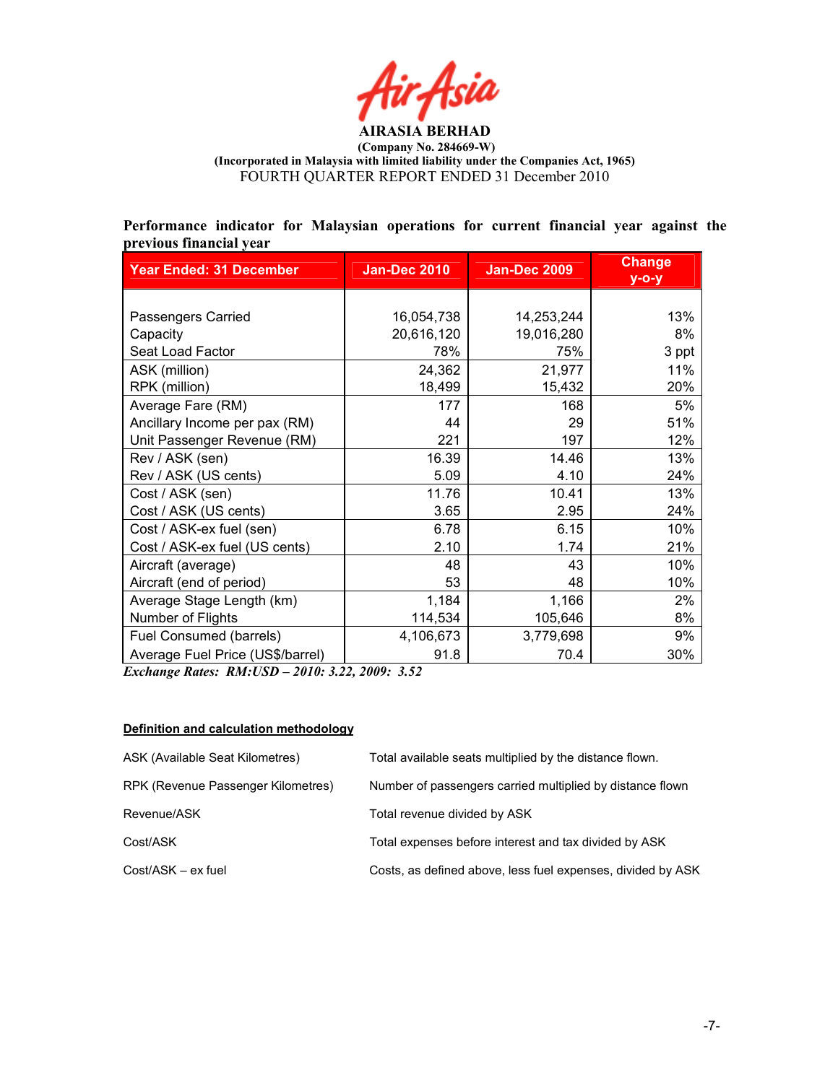

Performance indicator for Malaysian operations for current financial year against the previous financial year

| <b>Year Ended: 31 December</b>   | <b>Jan-Dec 2010</b> | <b>Jan-Dec 2009</b> | <b>Change</b><br>$y$ -o-y |
|----------------------------------|---------------------|---------------------|---------------------------|
|                                  |                     |                     |                           |
| Passengers Carried               | 16,054,738          | 14,253,244          | 13%                       |
| Capacity                         | 20,616,120          | 19,016,280          | 8%                        |
| Seat Load Factor                 | 78%                 | 75%                 | 3 ppt                     |
| ASK (million)                    | 24,362              | 21,977              | 11%                       |
| RPK (million)                    | 18,499              | 15,432              | 20%                       |
| Average Fare (RM)                | 177                 | 168                 | 5%                        |
| Ancillary Income per pax (RM)    | 44                  | 29                  | 51%                       |
| Unit Passenger Revenue (RM)      | 221                 | 197                 | 12%                       |
| Rev / ASK (sen)                  | 16.39               | 14.46               | 13%                       |
| Rev / ASK (US cents)             | 5.09                | 4.10                | 24%                       |
| Cost / ASK (sen)                 | 11.76               | 10.41               | 13%                       |
| Cost / ASK (US cents)            | 3.65                | 2.95                | 24%                       |
| Cost / ASK-ex fuel (sen)         | 6.78                | 6.15                | 10%                       |
| Cost / ASK-ex fuel (US cents)    | 2.10                | 1.74                | 21%                       |
| Aircraft (average)               | 48                  | 43                  | 10%                       |
| Aircraft (end of period)         | 53                  | 48                  | 10%                       |
| Average Stage Length (km)        | 1,184               | 1,166               | 2%                        |
| Number of Flights                | 114,534             | 105,646             | 8%                        |
| Fuel Consumed (barrels)          | 4,106,673           | 3,779,698           | 9%                        |
| Average Fuel Price (US\$/barrel) | 91.8                | 70.4                | 30%                       |

Exchange Rates: RM:USD – 2010: 3.22, 2009: 3.52

#### Definition and calculation methodology

| ASK (Available Seat Kilometres)    | Total available seats multiplied by the distance flown.     |
|------------------------------------|-------------------------------------------------------------|
| RPK (Revenue Passenger Kilometres) | Number of passengers carried multiplied by distance flown   |
| Revenue/ASK                        | Total revenue divided by ASK                                |
| Cost/ASK                           | Total expenses before interest and tax divided by ASK       |
| Cost/ASK – ex fuel                 | Costs, as defined above, less fuel expenses, divided by ASK |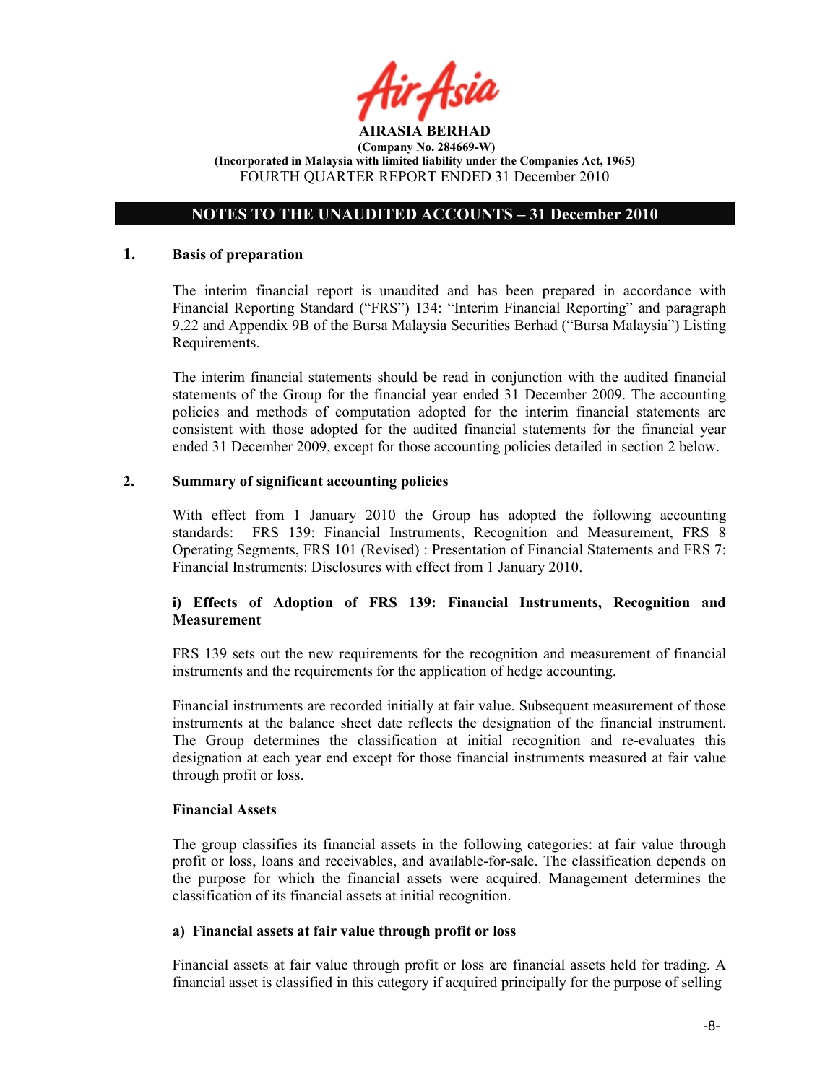

# OTES TO THE UAUDITED ACCOUTS – 31 December 2010

#### 1. Basis of preparation

The interim financial report is unaudited and has been prepared in accordance with Financial Reporting Standard ("FRS") 134: "Interim Financial Reporting" and paragraph 9.22 and Appendix 9B of the Bursa Malaysia Securities Berhad ("Bursa Malaysia") Listing Requirements.

The interim financial statements should be read in conjunction with the audited financial statements of the Group for the financial year ended 31 December 2009. The accounting policies and methods of computation adopted for the interim financial statements are consistent with those adopted for the audited financial statements for the financial year ended 31 December 2009, except for those accounting policies detailed in section 2 below.

## 2. Summary of significant accounting policies

With effect from 1 January 2010 the Group has adopted the following accounting standards: FRS 139: Financial Instruments, Recognition and Measurement, FRS 8 Operating Segments, FRS 101 (Revised) : Presentation of Financial Statements and FRS 7: Financial Instruments: Disclosures with effect from 1 January 2010.

# i) Effects of Adoption of FRS 139: Financial Instruments, Recognition and **Measurement**

FRS 139 sets out the new requirements for the recognition and measurement of financial instruments and the requirements for the application of hedge accounting.

Financial instruments are recorded initially at fair value. Subsequent measurement of those instruments at the balance sheet date reflects the designation of the financial instrument. The Group determines the classification at initial recognition and re-evaluates this designation at each year end except for those financial instruments measured at fair value through profit or loss.

#### Financial Assets

The group classifies its financial assets in the following categories: at fair value through profit or loss, loans and receivables, and available-for-sale. The classification depends on the purpose for which the financial assets were acquired. Management determines the classification of its financial assets at initial recognition.

#### a) Financial assets at fair value through profit or loss

Financial assets at fair value through profit or loss are financial assets held for trading. A financial asset is classified in this category if acquired principally for the purpose of selling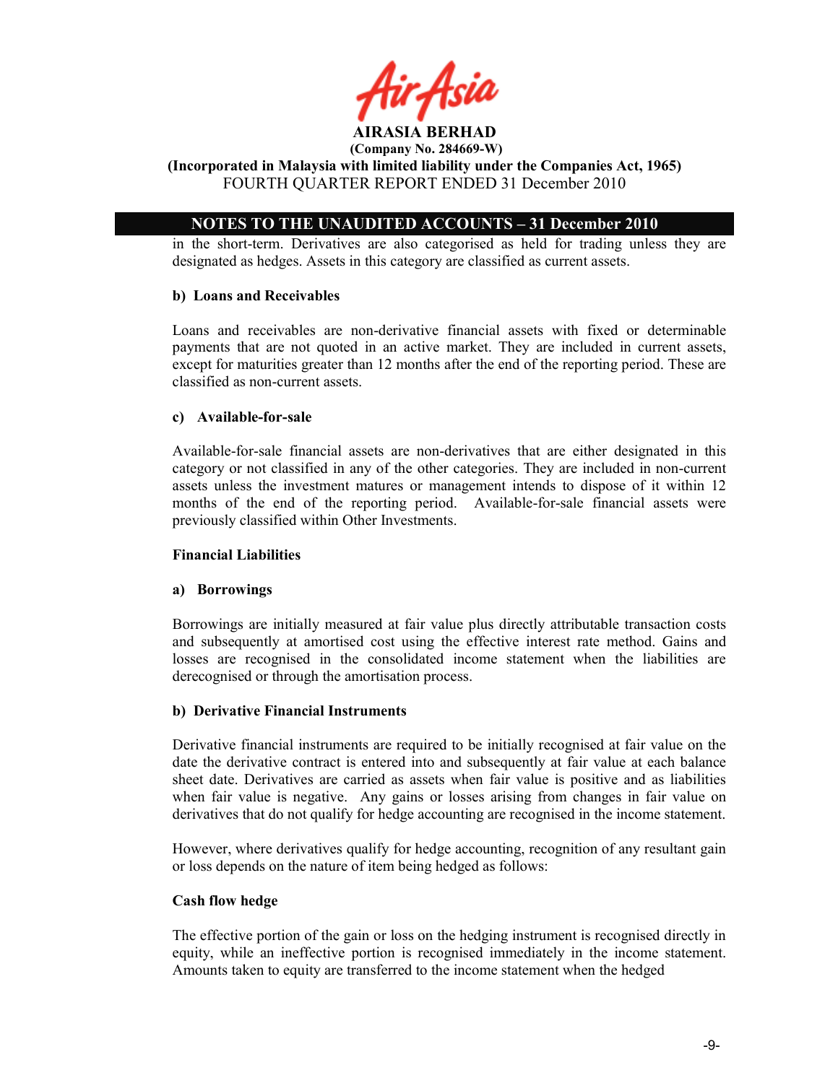

AIRASIA BERHAD (Company No. 284669-W)

# (Incorporated in Malaysia with limited liability under the Companies Act, 1965) FOURTH QUARTER REPORT ENDED 31 December 2010

# OTES TO THE UAUDITED ACCOUTS – 31 December 2010

in the short-term. Derivatives are also categorised as held for trading unless they are designated as hedges. Assets in this category are classified as current assets.

## b) Loans and Receivables

Loans and receivables are non-derivative financial assets with fixed or determinable payments that are not quoted in an active market. They are included in current assets, except for maturities greater than 12 months after the end of the reporting period. These are classified as non-current assets.

# c) Available-for-sale

Available-for-sale financial assets are non-derivatives that are either designated in this category or not classified in any of the other categories. They are included in non-current assets unless the investment matures or management intends to dispose of it within 12 months of the end of the reporting period. Available-for-sale financial assets were previously classified within Other Investments.

## Financial Liabilities

## a) Borrowings

Borrowings are initially measured at fair value plus directly attributable transaction costs and subsequently at amortised cost using the effective interest rate method. Gains and losses are recognised in the consolidated income statement when the liabilities are derecognised or through the amortisation process.

## b) Derivative Financial Instruments

Derivative financial instruments are required to be initially recognised at fair value on the date the derivative contract is entered into and subsequently at fair value at each balance sheet date. Derivatives are carried as assets when fair value is positive and as liabilities when fair value is negative. Any gains or losses arising from changes in fair value on derivatives that do not qualify for hedge accounting are recognised in the income statement.

However, where derivatives qualify for hedge accounting, recognition of any resultant gain or loss depends on the nature of item being hedged as follows:

## Cash flow hedge

The effective portion of the gain or loss on the hedging instrument is recognised directly in equity, while an ineffective portion is recognised immediately in the income statement. Amounts taken to equity are transferred to the income statement when the hedged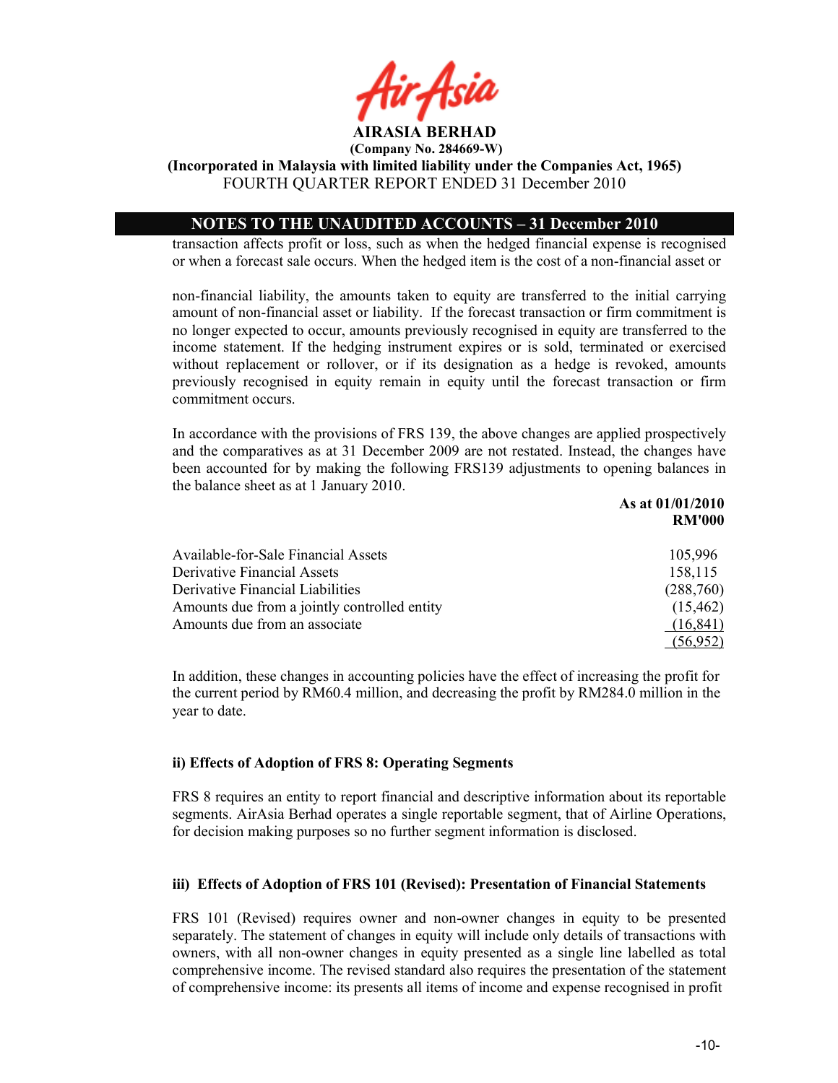

(Incorporated in Malaysia with limited liability under the Companies Act, 1965) FOURTH QUARTER REPORT ENDED 31 December 2010

# OTES TO THE UAUDITED ACCOUTS – 31 December 2010

transaction affects profit or loss, such as when the hedged financial expense is recognised or when a forecast sale occurs. When the hedged item is the cost of a non-financial asset or

non-financial liability, the amounts taken to equity are transferred to the initial carrying amount of non-financial asset or liability. If the forecast transaction or firm commitment is no longer expected to occur, amounts previously recognised in equity are transferred to the income statement. If the hedging instrument expires or is sold, terminated or exercised without replacement or rollover, or if its designation as a hedge is revoked, amounts previously recognised in equity remain in equity until the forecast transaction or firm commitment occurs.

In accordance with the provisions of FRS 139, the above changes are applied prospectively and the comparatives as at 31 December 2009 are not restated. Instead, the changes have been accounted for by making the following FRS139 adjustments to opening balances in the balance sheet as at 1 January 2010. As at 01/01/2010

|                                              | AS ALUI/UI/4010<br><b>RM'000</b> |
|----------------------------------------------|----------------------------------|
| Available-for-Sale Financial Assets          | 105,996                          |
| <b>Derivative Financial Assets</b>           | 158,115                          |
| Derivative Financial Liabilities             | (288,760)                        |
| Amounts due from a jointly controlled entity | (15, 462)                        |
| Amounts due from an associate                | (16, 841)                        |
|                                              | (56, 952)                        |

In addition, these changes in accounting policies have the effect of increasing the profit for the current period by RM60.4 million, and decreasing the profit by RM284.0 million in the year to date.

## ii) Effects of Adoption of FRS 8: Operating Segments

FRS 8 requires an entity to report financial and descriptive information about its reportable segments. AirAsia Berhad operates a single reportable segment, that of Airline Operations, for decision making purposes so no further segment information is disclosed.

## iii) Effects of Adoption of FRS 101 (Revised): Presentation of Financial Statements

FRS 101 (Revised) requires owner and non-owner changes in equity to be presented separately. The statement of changes in equity will include only details of transactions with owners, with all non-owner changes in equity presented as a single line labelled as total comprehensive income. The revised standard also requires the presentation of the statement of comprehensive income: its presents all items of income and expense recognised in profit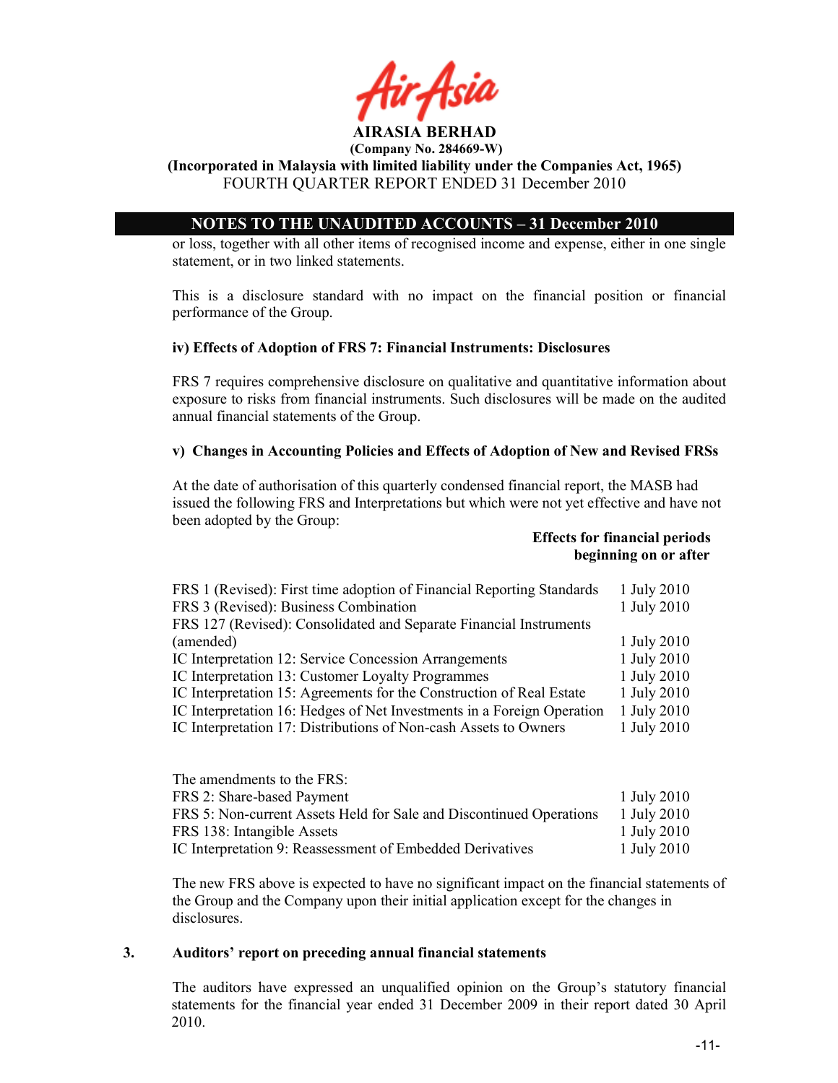#### AIRASIA BERHAD (Company No. 284669-W)

# (Incorporated in Malaysia with limited liability under the Companies Act, 1965) FOURTH QUARTER REPORT ENDED 31 December 2010

# OTES TO THE UAUDITED ACCOUTS – 31 December 2010

or loss, together with all other items of recognised income and expense, either in one single statement, or in two linked statements.

This is a disclosure standard with no impact on the financial position or financial performance of the Group.

## iv) Effects of Adoption of FRS 7: Financial Instruments: Disclosures

FRS 7 requires comprehensive disclosure on qualitative and quantitative information about exposure to risks from financial instruments. Such disclosures will be made on the audited annual financial statements of the Group.

# v) Changes in Accounting Policies and Effects of Adoption of New and Revised FRSs

At the date of authorisation of this quarterly condensed financial report, the MASB had issued the following FRS and Interpretations but which were not yet effective and have not been adopted by the Group:

#### Effects for financial periods beginning on or after

| FRS 1 (Revised): First time adoption of Financial Reporting Standards  | 1 July 2010 |
|------------------------------------------------------------------------|-------------|
| FRS 3 (Revised): Business Combination                                  | 1 July 2010 |
| FRS 127 (Revised): Consolidated and Separate Financial Instruments     |             |
| (amended)                                                              | 1 July 2010 |
| IC Interpretation 12: Service Concession Arrangements                  | 1 July 2010 |
| IC Interpretation 13: Customer Loyalty Programmes                      | 1 July 2010 |
| IC Interpretation 15: Agreements for the Construction of Real Estate   | 1 July 2010 |
| IC Interpretation 16: Hedges of Net Investments in a Foreign Operation | 1 July 2010 |
| IC Interpretation 17: Distributions of Non-cash Assets to Owners       | 1 July 2010 |
|                                                                        |             |

| The amendments to the FRS:                                          |             |
|---------------------------------------------------------------------|-------------|
| FRS 2: Share-based Payment                                          | 1 July 2010 |
| FRS 5: Non-current Assets Held for Sale and Discontinued Operations | 1 July 2010 |
| FRS 138: Intangible Assets                                          | 1 July 2010 |
| IC Interpretation 9: Reassessment of Embedded Derivatives           | 1 July 2010 |

The new FRS above is expected to have no significant impact on the financial statements of the Group and the Company upon their initial application except for the changes in disclosures.

## 3. Auditors' report on preceding annual financial statements

The auditors have expressed an unqualified opinion on the Group's statutory financial statements for the financial year ended 31 December 2009 in their report dated 30 April 2010.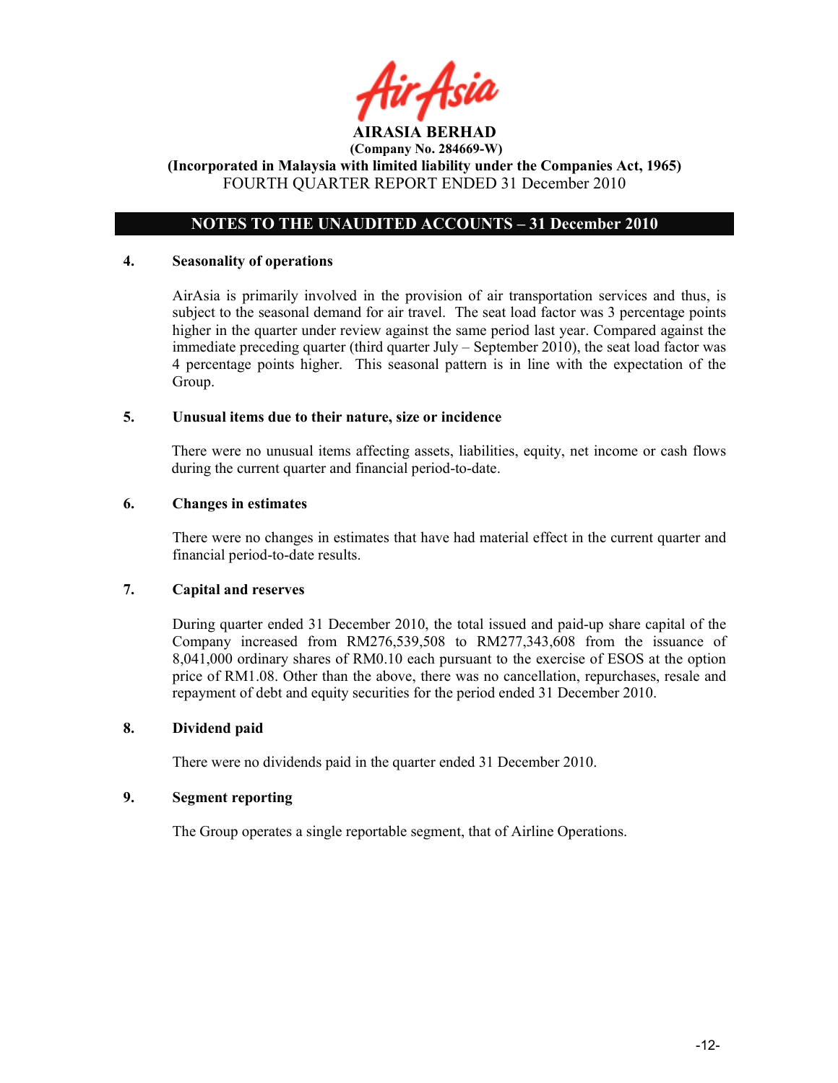

# OTES TO THE UAUDITED ACCOUTS – 31 December 2010

## 4. Seasonality of operations

AirAsia is primarily involved in the provision of air transportation services and thus, is subject to the seasonal demand for air travel. The seat load factor was 3 percentage points higher in the quarter under review against the same period last year. Compared against the immediate preceding quarter (third quarter July  $-$  September 2010), the seat load factor was 4 percentage points higher. This seasonal pattern is in line with the expectation of the Group.

#### 5. Unusual items due to their nature, size or incidence

There were no unusual items affecting assets, liabilities, equity, net income or cash flows during the current quarter and financial period-to-date.

## 6. Changes in estimates

There were no changes in estimates that have had material effect in the current quarter and financial period-to-date results.

## 7. Capital and reserves

During quarter ended 31 December 2010, the total issued and paid-up share capital of the Company increased from RM276,539,508 to RM277,343,608 from the issuance of 8,041,000 ordinary shares of RM0.10 each pursuant to the exercise of ESOS at the option price of RM1.08. Other than the above, there was no cancellation, repurchases, resale and repayment of debt and equity securities for the period ended 31 December 2010.

## 8. Dividend paid

There were no dividends paid in the quarter ended 31 December 2010.

## 9. Segment reporting

The Group operates a single reportable segment, that of Airline Operations.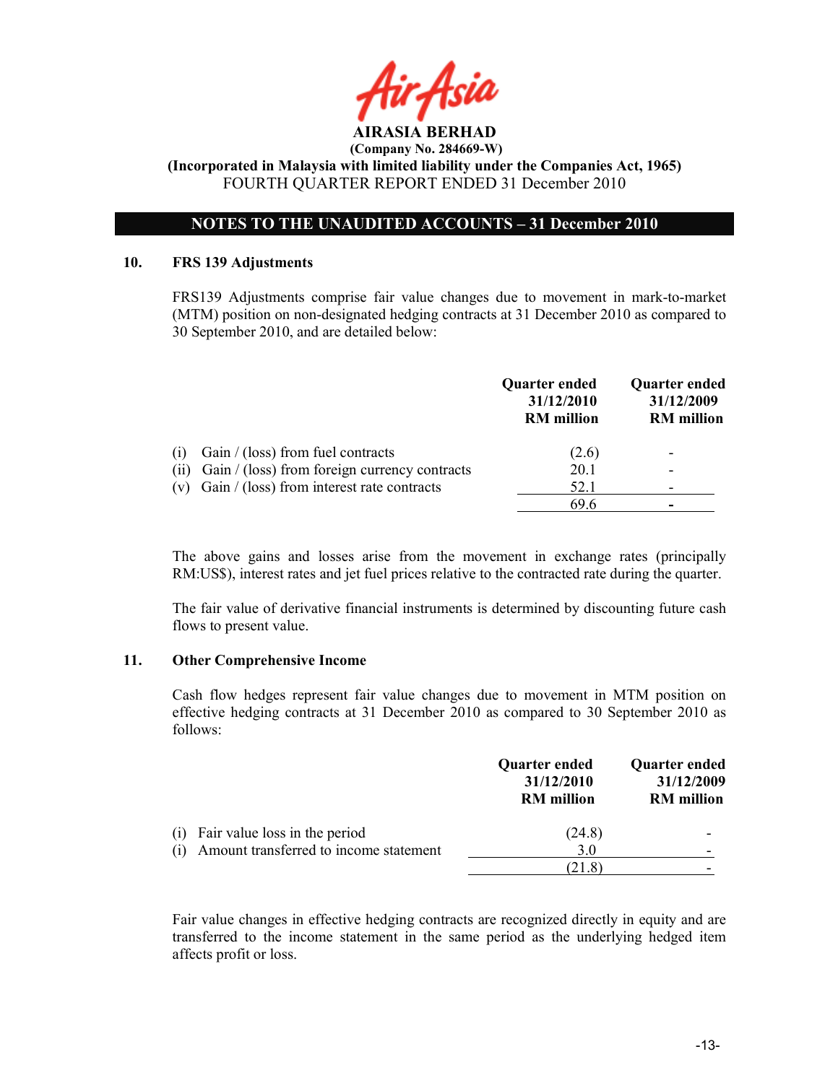

# OTES TO THE UAUDITED ACCOUTS – 31 December 2010

#### 10. FRS 139 Adjustments

 FRS139 Adjustments comprise fair value changes due to movement in mark-to-market (MTM) position on non-designated hedging contracts at 31 December 2010 as compared to 30 September 2010, and are detailed below:

|     |                                                  | Quarter ended<br>31/12/2010<br><b>RM</b> million | <b>Quarter ended</b><br>31/12/2009<br><b>RM</b> million |
|-----|--------------------------------------------------|--------------------------------------------------|---------------------------------------------------------|
| (1) | Gain $/$ (loss) from fuel contracts              | (2.6)                                            | $\overline{\phantom{0}}$                                |
| (i) | Gain / (loss) from foreign currency contracts    | 20.1                                             | $\overline{\phantom{0}}$                                |
|     | (v) Gain $/$ (loss) from interest rate contracts | 52.1                                             |                                                         |
|     |                                                  | 69.6                                             |                                                         |

The above gains and losses arise from the movement in exchange rates (principally RM:US\$), interest rates and jet fuel prices relative to the contracted rate during the quarter.

The fair value of derivative financial instruments is determined by discounting future cash flows to present value.

#### 11. Other Comprehensive Income

Cash flow hedges represent fair value changes due to movement in MTM position on effective hedging contracts at 31 December 2010 as compared to 30 September 2010 as follows:

|                                                                                    | <b>Quarter ended</b><br>31/12/2010<br><b>RM</b> million | Quarter ended<br>31/12/2009<br><b>RM</b> million |
|------------------------------------------------------------------------------------|---------------------------------------------------------|--------------------------------------------------|
| Fair value loss in the period<br>(1)<br>(i) Amount transferred to income statement | (24.8)<br>3.0                                           | -                                                |
|                                                                                    |                                                         |                                                  |

Fair value changes in effective hedging contracts are recognized directly in equity and are transferred to the income statement in the same period as the underlying hedged item affects profit or loss.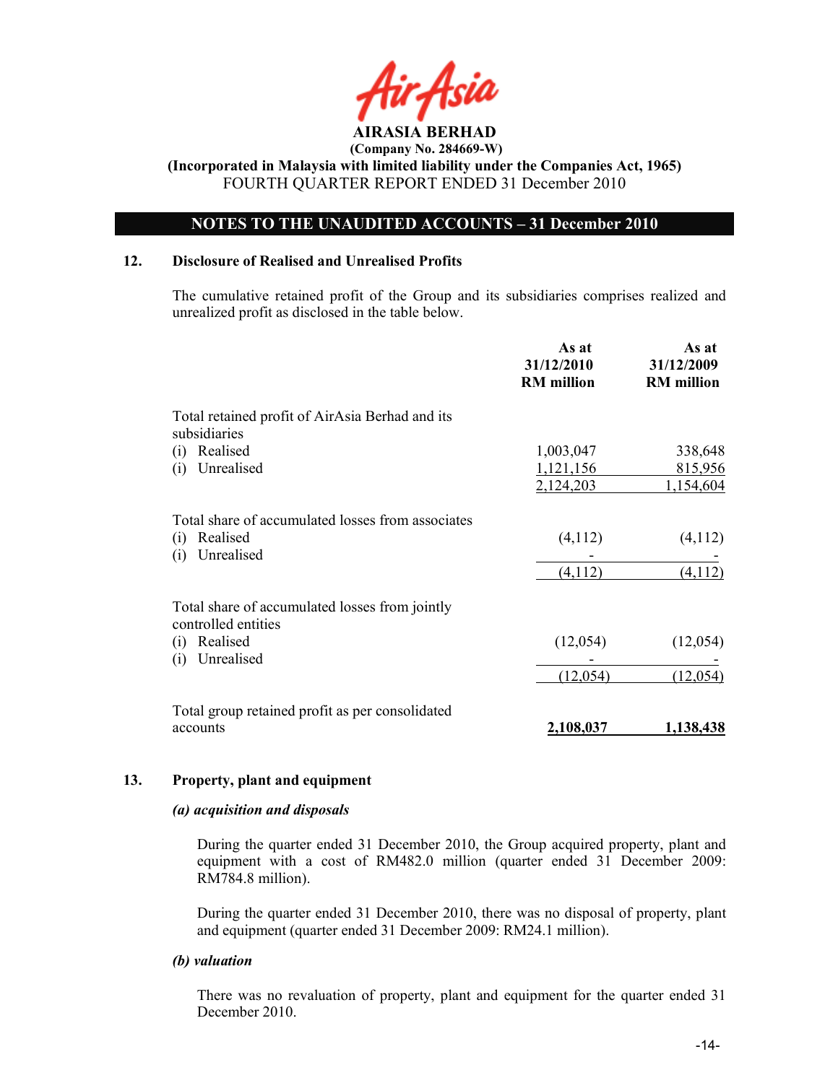

# OTES TO THE UAUDITED ACCOUTS – 31 December 2010

## 12. Disclosure of Realised and Unrealised Profits

The cumulative retained profit of the Group and its subsidiaries comprises realized and unrealized profit as disclosed in the table below.

|                                                                       | As at<br>31/12/2010<br><b>RM</b> million | As at<br>31/12/2009<br><b>RM</b> million |
|-----------------------------------------------------------------------|------------------------------------------|------------------------------------------|
| Total retained profit of AirAsia Berhad and its<br>subsidiaries       |                                          |                                          |
| Realised<br>(i)                                                       | 1,003,047                                | 338,648                                  |
| Unrealised<br>(i)                                                     | 1,121,156                                | 815,956                                  |
|                                                                       | 2,124,203                                | 1,154,604                                |
| Total share of accumulated losses from associates                     |                                          |                                          |
| Realised<br>(i)                                                       | (4,112)                                  | (4,112)                                  |
| Unrealised<br>(i)                                                     |                                          |                                          |
|                                                                       | (4,112)                                  | (4,112)                                  |
| Total share of accumulated losses from jointly<br>controlled entities |                                          |                                          |
| Realised<br>(i)<br>Unrealised<br>(i)                                  | (12,054)                                 | (12,054)                                 |
|                                                                       | (12,054)                                 | (12,054)                                 |
| Total group retained profit as per consolidated                       |                                          |                                          |
| accounts                                                              | 2,108,037                                | 1,138,438                                |

## 13. Property, plant and equipment

#### (a) acquisition and disposals

During the quarter ended 31 December 2010, the Group acquired property, plant and equipment with a cost of RM482.0 million (quarter ended 31 December 2009: RM784.8 million).

During the quarter ended 31 December 2010, there was no disposal of property, plant and equipment (quarter ended 31 December 2009: RM24.1 million).

#### (b) valuation

 There was no revaluation of property, plant and equipment for the quarter ended 31 December 2010.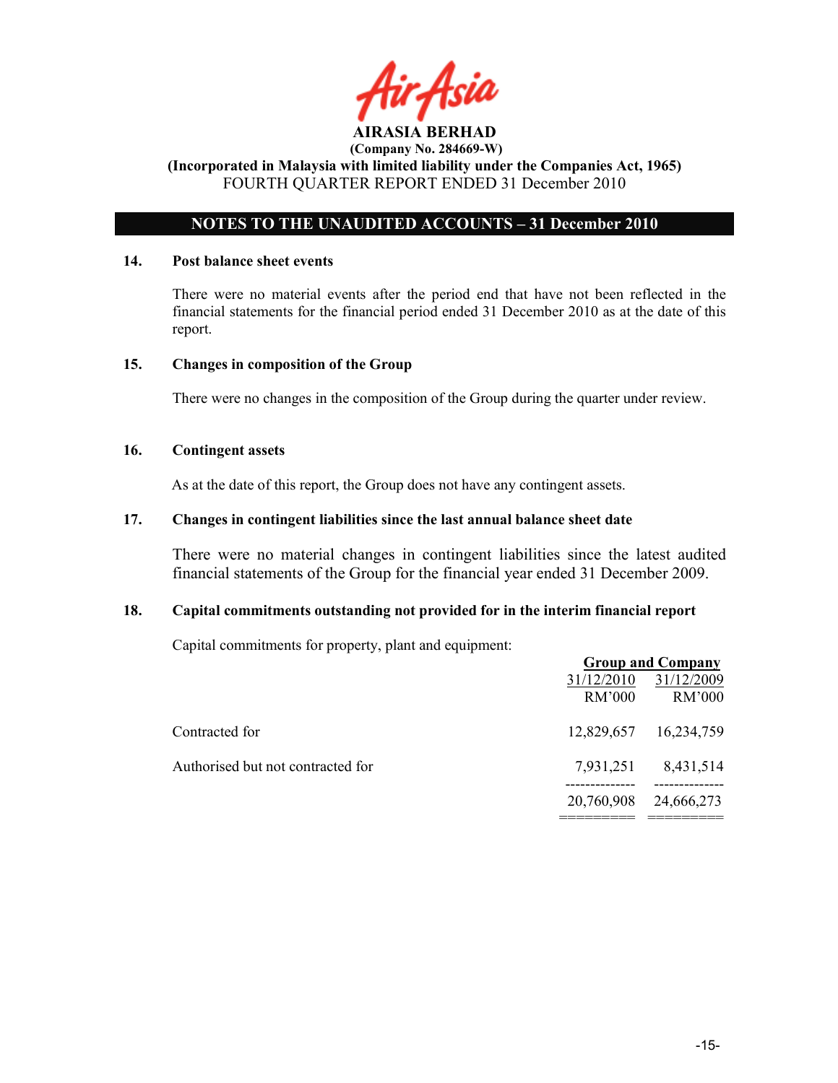

# OTES TO THE UAUDITED ACCOUTS – 31 December 2010

#### 14. Post balance sheet events

There were no material events after the period end that have not been reflected in the financial statements for the financial period ended 31 December 2010 as at the date of this report.

## 15. Changes in composition of the Group

There were no changes in the composition of the Group during the quarter under review.

## 16. Contingent assets

As at the date of this report, the Group does not have any contingent assets.

# 17. Changes in contingent liabilities since the last annual balance sheet date

There were no material changes in contingent liabilities since the latest audited financial statements of the Group for the financial year ended 31 December 2009.

## 18. Capital commitments outstanding not provided for in the interim financial report

Capital commitments for property, plant and equipment:

|                                   |                      | <b>Group and Company</b> |
|-----------------------------------|----------------------|--------------------------|
|                                   | 31/12/2010<br>RM'000 | 31/12/2009<br>RM'000     |
| Contracted for                    | 12,829,657           | 16,234,759               |
| Authorised but not contracted for | 7,931,251            | 8,431,514                |
|                                   | 20,760,908           | 24,666,273               |
|                                   |                      |                          |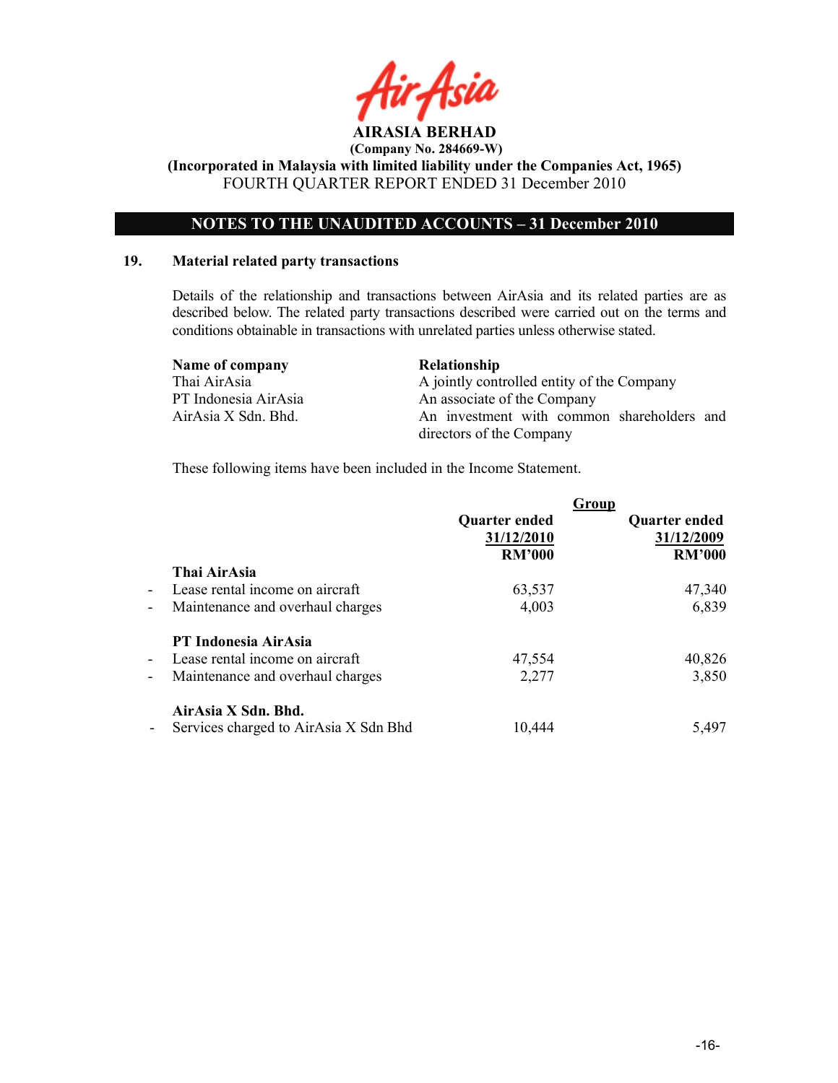

AIRASIA BERHAD (Company No. 284669-W)

(Incorporated in Malaysia with limited liability under the Companies Act, 1965) FOURTH QUARTER REPORT ENDED 31 December 2010

# OTES TO THE UAUDITED ACCOUTS – 31 December 2010

## 19. Material related party transactions

Details of the relationship and transactions between AirAsia and its related parties are as described below. The related party transactions described were carried out on the terms and conditions obtainable in transactions with unrelated parties unless otherwise stated.

| Name of company      | <b>Relationship</b>                        |
|----------------------|--------------------------------------------|
| Thai AirAsia         | A jointly controlled entity of the Company |
| PT Indonesia AirAsia | An associate of the Company                |
| AirAsia X Sdn. Bhd.  | An investment with common shareholders and |
|                      | directors of the Company                   |

These following items have been included in the Income Statement.

|                          |                                       |                      | Group                |
|--------------------------|---------------------------------------|----------------------|----------------------|
|                          |                                       | <b>Quarter ended</b> | <b>Quarter ended</b> |
|                          |                                       | 31/12/2010           | 31/12/2009           |
|                          |                                       | <b>RM'000</b>        | <b>RM'000</b>        |
|                          | Thai AirAsia                          |                      |                      |
| $\blacksquare$           | Lease rental income on aircraft       | 63,537               | 47,340               |
| $\overline{\phantom{a}}$ | Maintenance and overhaul charges      | 4,003                | 6,839                |
|                          | PT Indonesia AirAsia                  |                      |                      |
| $\blacksquare$           | Lease rental income on aircraft       | 47,554               | 40,826               |
| $\overline{\phantom{a}}$ | Maintenance and overhaul charges      | 2,277                | 3,850                |
|                          | AirAsia X Sdn. Bhd.                   |                      |                      |
| $\sim$                   | Services charged to AirAsia X Sdn Bhd | 10,444               | 5,497                |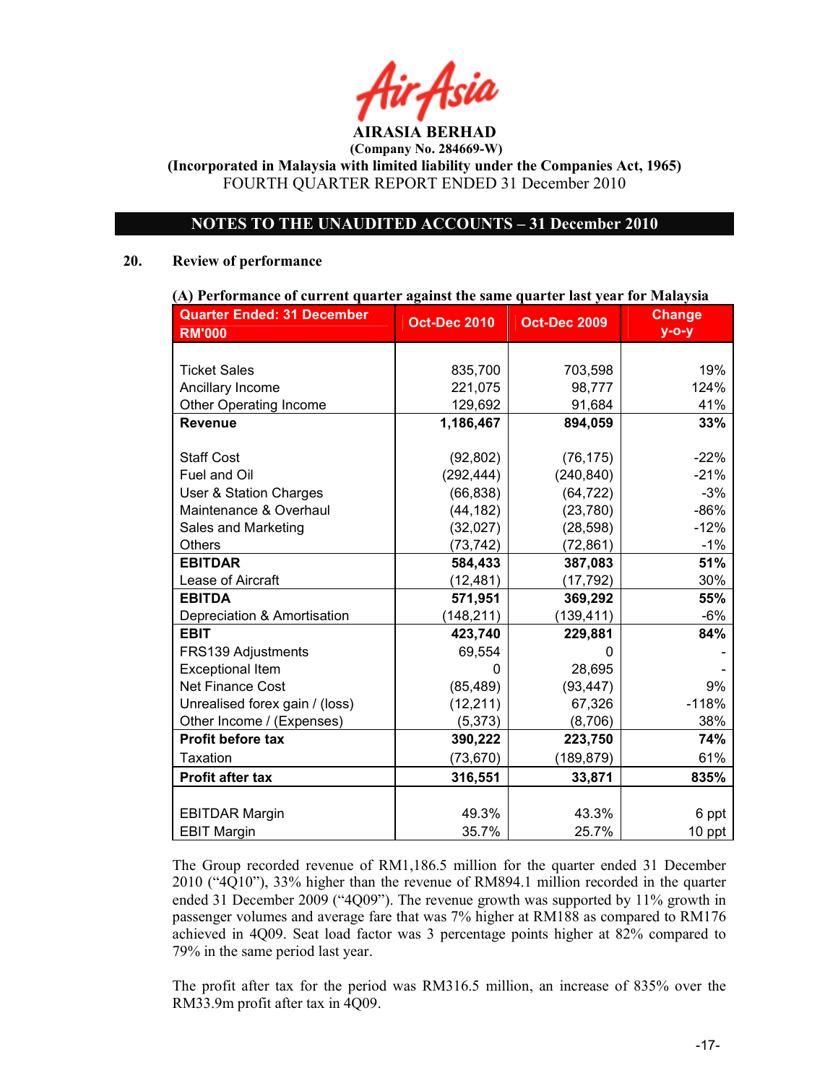AIRASIA BERHAD (Company No. 284669-W)

(Incorporated in Malaysia with limited liability under the Companies Act, 1965) FOURTH QUARTER REPORT ENDED 31 December 2010

# OTES TO THE UAUDITED ACCOUTS – 31 December 2010

#### 20. Review of performance

| (A) Performance of current quarter against the same quarter last year for Malaysia |                     |                     |               |  |  |
|------------------------------------------------------------------------------------|---------------------|---------------------|---------------|--|--|
| <b>Quarter Ended: 31 December</b>                                                  | <b>Oct-Dec 2010</b> | <b>Oct-Dec 2009</b> | <b>Change</b> |  |  |
| <b>RM'000</b>                                                                      |                     |                     | $y - o - y$   |  |  |
|                                                                                    |                     |                     |               |  |  |
| <b>Ticket Sales</b>                                                                | 835,700             | 703,598             | 19%           |  |  |
| Ancillary Income                                                                   | 221,075             | 98,777              | 124%          |  |  |
| Other Operating Income                                                             | 129,692             | 91,684              | 41%           |  |  |
| <b>Revenue</b>                                                                     | 1,186,467           | 894,059             | 33%           |  |  |
|                                                                                    |                     |                     |               |  |  |
| <b>Staff Cost</b>                                                                  | (92, 802)           | (76, 175)           | $-22%$        |  |  |
| Fuel and Oil                                                                       | (292, 444)          | (240, 840)          | $-21%$        |  |  |
| <b>User &amp; Station Charges</b>                                                  | (66, 838)           | (64, 722)           | $-3%$         |  |  |
| Maintenance & Overhaul                                                             | (44, 182)           | (23, 780)           | $-86%$        |  |  |
| Sales and Marketing                                                                | (32,027)            | (28, 598)           | $-12%$        |  |  |
| <b>Others</b>                                                                      | (73, 742)           | (72, 861)           | $-1%$         |  |  |
| <b>EBITDAR</b>                                                                     | 584,433             | 387,083             | 51%           |  |  |
| Lease of Aircraft                                                                  | (12, 481)           | (17, 792)           | 30%           |  |  |
| <b>EBITDA</b>                                                                      | 571,951             | 369,292             | 55%           |  |  |
| Depreciation & Amortisation                                                        | (148, 211)          | (139, 411)          | $-6%$         |  |  |
| <b>EBIT</b>                                                                        | 423,740             | 229,881             | 84%           |  |  |
| FRS139 Adjustments                                                                 | 69,554              |                     |               |  |  |
| <b>Exceptional Item</b>                                                            | 0                   | 28,695              |               |  |  |
| <b>Net Finance Cost</b>                                                            | (85, 489)           | (93, 447)           | 9%            |  |  |
| Unrealised forex gain / (loss)                                                     | (12, 211)           | 67,326              | $-118%$       |  |  |
| Other Income / (Expenses)                                                          | (5, 373)            | (8,706)             | 38%           |  |  |
| <b>Profit before tax</b>                                                           | 390,222             | 223,750             | 74%           |  |  |
| <b>Taxation</b>                                                                    | (73, 670)           | (189, 879)          | 61%           |  |  |
| <b>Profit after tax</b>                                                            | 316,551             | 33,871              | 835%          |  |  |
|                                                                                    |                     |                     |               |  |  |
| <b>EBITDAR Margin</b>                                                              | 49.3%               | 43.3%               | 6 ppt         |  |  |
| <b>EBIT Margin</b>                                                                 | 35.7%               | 25.7%               | 10 ppt        |  |  |

The Group recorded revenue of RM1,186.5 million for the quarter ended 31 December 2010 ("4Q10"), 33% higher than the revenue of RM894.1 million recorded in the quarter ended 31 December 2009 ("4Q09"). The revenue growth was supported by 11% growth in passenger volumes and average fare that was 7% higher at RM188 as compared to RM176 achieved in 4Q09. Seat load factor was 3 percentage points higher at 82% compared to 79% in the same period last year.

The profit after tax for the period was RM316.5 million, an increase of 835% over the RM33.9m profit after tax in 4Q09.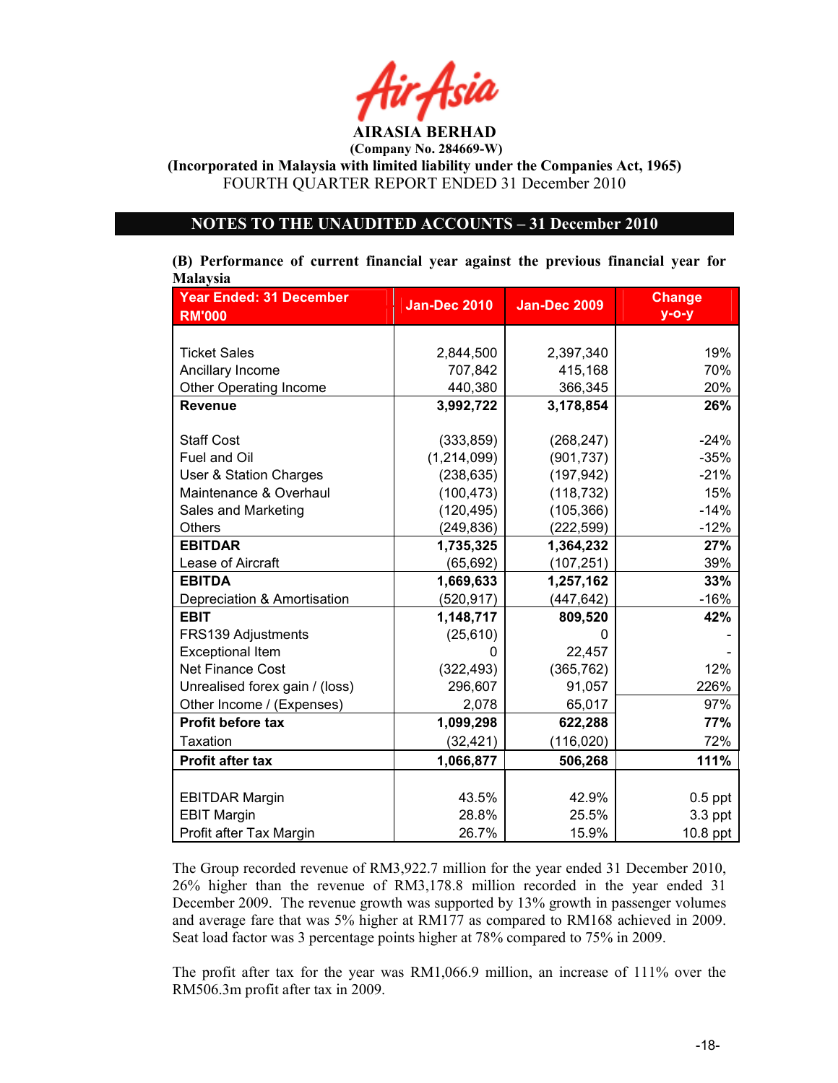

(Incorporated in Malaysia with limited liability under the Companies Act, 1965) FOURTH QUARTER REPORT ENDED 31 December 2010

# OTES TO THE UAUDITED ACCOUTS – 31 December 2010

| (B) Performance of current financial year against the previous financial year for |  |  |  |  |  |
|-----------------------------------------------------------------------------------|--|--|--|--|--|
| <b>Malaysia</b>                                                                   |  |  |  |  |  |

| <b>Year Ended: 31 December</b> | <b>Jan-Dec 2010</b> | <b>Jan-Dec 2009</b> | <b>Change</b> |
|--------------------------------|---------------------|---------------------|---------------|
| <b>RM'000</b>                  |                     |                     | $y$ -o-y      |
|                                |                     |                     |               |
| <b>Ticket Sales</b>            | 2,844,500           | 2,397,340           | 19%           |
| Ancillary Income               | 707,842             | 415,168             | 70%           |
| <b>Other Operating Income</b>  | 440,380             | 366,345             | 20%           |
| <b>Revenue</b>                 | 3,992,722           | 3,178,854           | 26%           |
|                                |                     |                     |               |
| <b>Staff Cost</b>              | (333, 859)          | (268, 247)          | $-24%$        |
| Fuel and Oil                   | (1, 214, 099)       | (901, 737)          | $-35%$        |
| User & Station Charges         | (238, 635)          | (197, 942)          | $-21%$        |
| Maintenance & Overhaul         | (100, 473)          | (118, 732)          | 15%           |
| Sales and Marketing            | (120, 495)          | (105, 366)          | $-14%$        |
| <b>Others</b>                  | (249, 836)          | (222, 599)          | $-12%$        |
| <b>EBITDAR</b>                 | 1,735,325           | 1,364,232           | 27%           |
| Lease of Aircraft              | (65, 692)           | (107, 251)          | 39%           |
| <b>EBITDA</b>                  | 1,669,633           | 1,257,162           | 33%           |
| Depreciation & Amortisation    | (520, 917)          | (447, 642)          | $-16%$        |
| <b>EBIT</b>                    | 1,148,717           | 809,520             | 42%           |
| FRS139 Adjustments             | (25, 610)           | O                   |               |
| <b>Exceptional Item</b>        | 0                   | 22,457              |               |
| <b>Net Finance Cost</b>        | (322, 493)          | (365, 762)          | 12%           |
| Unrealised forex gain / (loss) | 296,607             | 91,057              | 226%          |
| Other Income / (Expenses)      | 2,078               | 65,017              | 97%           |
| Profit before tax              | 1,099,298           | 622,288             | 77%           |
| <b>Taxation</b>                | (32, 421)           | (116, 020)          | 72%           |
| <b>Profit after tax</b>        | 1,066,877           | 506,268             | 111%          |
|                                |                     |                     |               |
| <b>EBITDAR Margin</b>          | 43.5%               | 42.9%               | $0.5$ ppt     |
| <b>EBIT Margin</b>             | 28.8%               | 25.5%               | $3.3$ ppt     |
| Profit after Tax Margin        | 26.7%               | 15.9%               | $10.8$ ppt    |

The Group recorded revenue of RM3,922.7 million for the year ended 31 December 2010, 26% higher than the revenue of RM3,178.8 million recorded in the year ended 31 December 2009. The revenue growth was supported by 13% growth in passenger volumes and average fare that was 5% higher at RM177 as compared to RM168 achieved in 2009. Seat load factor was 3 percentage points higher at 78% compared to 75% in 2009.

The profit after tax for the year was RM1,066.9 million, an increase of 111% over the RM506.3m profit after tax in 2009.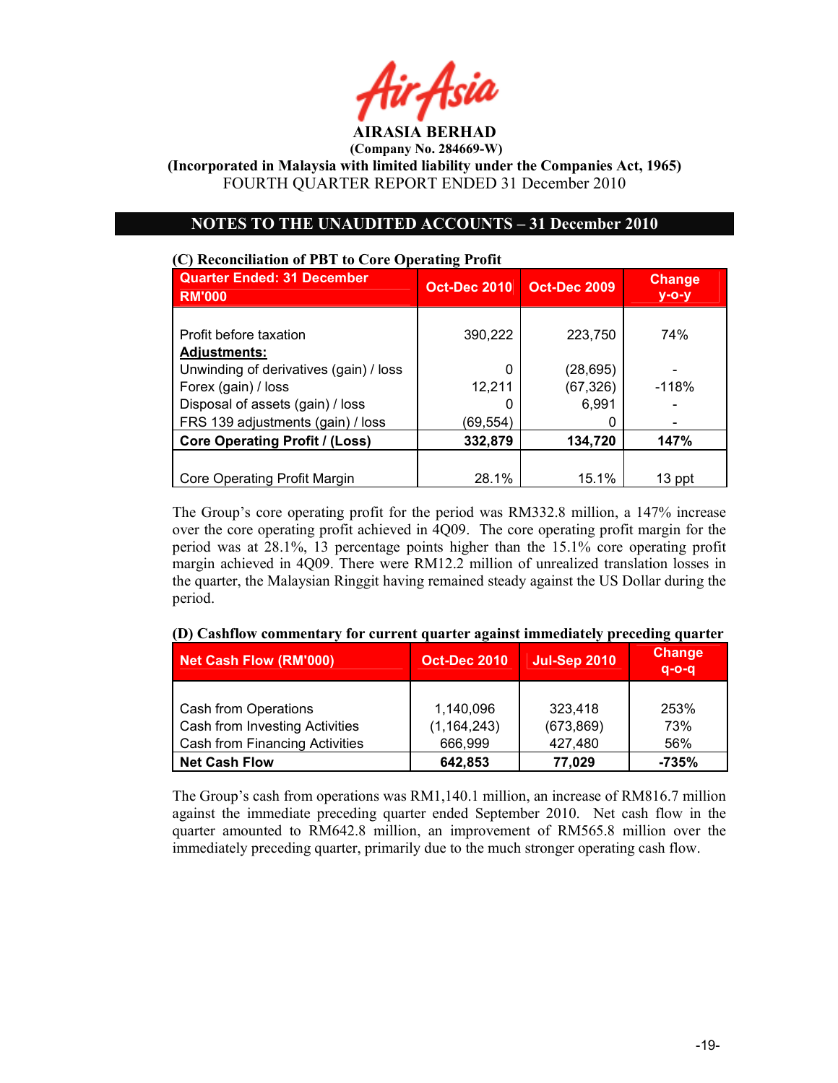ir Asid AIRASIA BERHAD

(Incorporated in Malaysia with limited liability under the Companies Act, 1965) FOURTH QUARTER REPORT ENDED 31 December 2010

# OTES TO THE UAUDITED ACCOUTS – 31 December 2010

# (C) Reconciliation of PBT to Core Operating Profit Quarter Ended: 31 December RM'000 Oct-Dec 2010 Oct-Dec 2009 Change y-o-y Profit before taxation  $\vert$  390,222 | 223,750 | 74% Adjustments: Unwinding of derivatives (gain) / loss  $\begin{bmatrix} 0 & 0 \end{bmatrix}$  (28,695) Forex (gain) / loss  $\vert$  12,211 | (67,326) | -118% Disposal of assets  $(gain) / loss$  0 6,991 FRS 139 adjustments (gain) / loss  $(69,554)$  |  $\qquad \qquad$  0 Core Operating Profit / (Loss) | 332,879 | 134,720 | 147% Core Operating Profit Margin 128.1% 15.1% 13 ppt

The Group's core operating profit for the period was RM332.8 million, a 147% increase over the core operating profit achieved in 4Q09. The core operating profit margin for the period was at 28.1%, 13 percentage points higher than the 15.1% core operating profit margin achieved in 4Q09. There were RM12.2 million of unrealized translation losses in the quarter, the Malaysian Ringgit having remained steady against the US Dollar during the period.

| Net Cash Flow (RM'000)                                                                          | <b>Oct-Dec 2010</b>                   | <b>Jul-Sep 2010</b>              | <b>Change</b><br>$q - o - q$ |
|-------------------------------------------------------------------------------------------------|---------------------------------------|----------------------------------|------------------------------|
| Cash from Operations<br>Cash from Investing Activities<br><b>Cash from Financing Activities</b> | 1,140,096<br>(1, 164, 243)<br>666,999 | 323,418<br>(673, 869)<br>427,480 | 253%<br>73%<br>56%           |
| <b>Net Cash Flow</b>                                                                            | 642,853                               | 77,029                           | $-735%$                      |

(D) Cashflow commentary for current quarter against immediately preceding quarter

The Group's cash from operations was RM1,140.1 million, an increase of RM816.7 million against the immediate preceding quarter ended September 2010. Net cash flow in the quarter amounted to RM642.8 million, an improvement of RM565.8 million over the immediately preceding quarter, primarily due to the much stronger operating cash flow.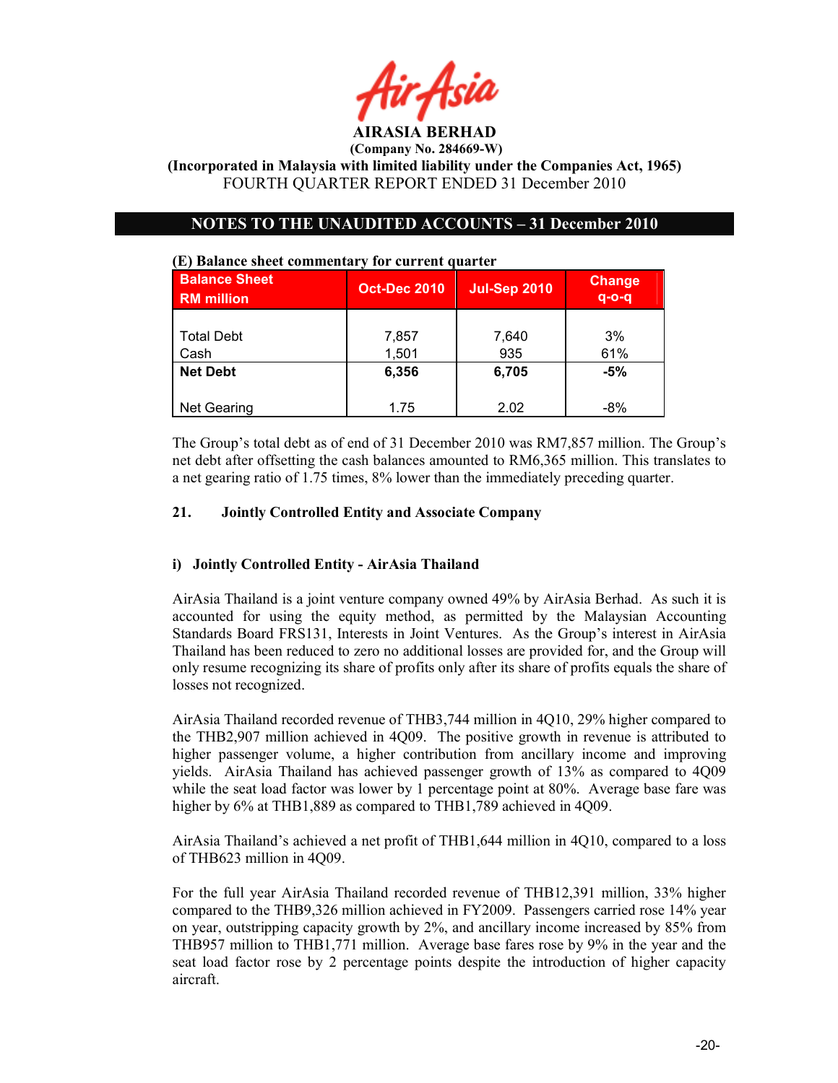

(Incorporated in Malaysia with limited liability under the Companies Act, 1965) FOURTH QUARTER REPORT ENDED 31 December 2010

# OTES TO THE UAUDITED ACCOUTS – 31 December 2010

| <b>Balance Sheet</b><br><b>RM</b> million | <b>Oct-Dec 2010</b> | <b>Jul-Sep 2010</b> | <b>Change</b><br>$q - o - q$ |
|-------------------------------------------|---------------------|---------------------|------------------------------|
| <b>Total Debt</b><br>Cash                 | 7,857<br>1,501      | 7,640<br>935        | 3%<br>61%                    |
| <b>Net Debt</b>                           | 6,356               | 6,705               | $-5%$                        |
| <b>Net Gearing</b>                        | 1.75                | 2.02                | -8%                          |

#### (E) Balance sheet commentary for current quarter

The Group's total debt as of end of 31 December 2010 was RM7,857 million. The Group's net debt after offsetting the cash balances amounted to RM6,365 million. This translates to a net gearing ratio of 1.75 times, 8% lower than the immediately preceding quarter.

#### 21. Jointly Controlled Entity and Associate Company

## i) Jointly Controlled Entity - AirAsia Thailand

AirAsia Thailand is a joint venture company owned 49% by AirAsia Berhad. As such it is accounted for using the equity method, as permitted by the Malaysian Accounting Standards Board FRS131, Interests in Joint Ventures. As the Group's interest in AirAsia Thailand has been reduced to zero no additional losses are provided for, and the Group will only resume recognizing its share of profits only after its share of profits equals the share of losses not recognized.

AirAsia Thailand recorded revenue of THB3,744 million in 4Q10, 29% higher compared to the THB2,907 million achieved in 4Q09. The positive growth in revenue is attributed to higher passenger volume, a higher contribution from ancillary income and improving yields. AirAsia Thailand has achieved passenger growth of 13% as compared to 4Q09 while the seat load factor was lower by 1 percentage point at 80%. Average base fare was higher by  $6\%$  at THB1,889 as compared to THB1,789 achieved in 4Q09.

AirAsia Thailand's achieved a net profit of THB1,644 million in 4Q10, compared to a loss of THB623 million in 4Q09.

For the full year AirAsia Thailand recorded revenue of THB12,391 million, 33% higher compared to the THB9,326 million achieved in FY2009. Passengers carried rose 14% year on year, outstripping capacity growth by 2%, and ancillary income increased by 85% from THB957 million to THB1,771 million. Average base fares rose by 9% in the year and the seat load factor rose by 2 percentage points despite the introduction of higher capacity aircraft.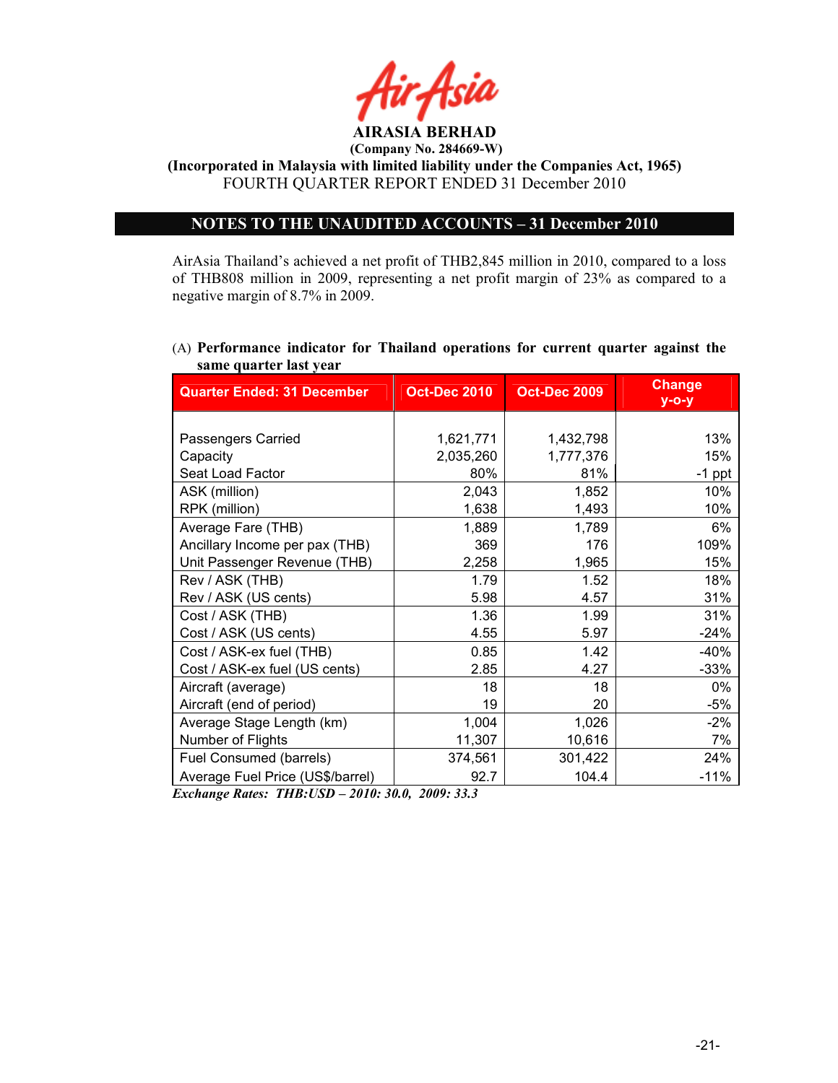

(Incorporated in Malaysia with limited liability under the Companies Act, 1965) FOURTH QUARTER REPORT ENDED 31 December 2010

# OTES TO THE UAUDITED ACCOUTS – 31 December 2010

AirAsia Thailand's achieved a net profit of THB2,845 million in 2010, compared to a loss of THB808 million in 2009, representing a net profit margin of 23% as compared to a negative margin of 8.7% in 2009.

## (A) Performance indicator for Thailand operations for current quarter against the same quarter last year

| <b>Quarter Ended: 31 December</b> | <b>Oct-Dec 2010</b> | <b>Oct-Dec 2009</b> | <b>Change</b><br>$y$ -o-y |
|-----------------------------------|---------------------|---------------------|---------------------------|
|                                   |                     |                     |                           |
| Passengers Carried                | 1,621,771           | 1,432,798           | 13%                       |
| Capacity                          | 2,035,260           | 1,777,376           | 15%                       |
| Seat Load Factor                  | 80%                 | 81%                 | $-1$ ppt                  |
| ASK (million)                     | 2,043               | 1,852               | 10%                       |
| RPK (million)                     | 1,638               | 1,493               | 10%                       |
| Average Fare (THB)                | 1,889               | 1,789               | 6%                        |
| Ancillary Income per pax (THB)    | 369                 | 176                 | 109%                      |
| Unit Passenger Revenue (THB)      | 2,258               | 1,965               | 15%                       |
| Rev / ASK (THB)                   | 1.79                | 1.52                | 18%                       |
| Rev / ASK (US cents)              | 5.98                | 4.57                | 31%                       |
| Cost / ASK (THB)                  | 1.36                | 1.99                | 31%                       |
| Cost / ASK (US cents)             | 4.55                | 5.97                | $-24%$                    |
| Cost / ASK-ex fuel (THB)          | 0.85                | 1.42                | $-40%$                    |
| Cost / ASK-ex fuel (US cents)     | 2.85                | 4.27                | $-33%$                    |
| Aircraft (average)                | 18                  | 18                  | 0%                        |
| Aircraft (end of period)          | 19                  | 20                  | $-5%$                     |
| Average Stage Length (km)         | 1,004               | 1,026               | $-2%$                     |
| Number of Flights                 | 11,307              | 10,616              | 7%                        |
| Fuel Consumed (barrels)           | 374,561             | 301,422             | 24%                       |
| Average Fuel Price (US\$/barrel)  | 92.7                | 104.4               | $-11%$                    |

Exchange Rates: THB:USD – 2010: 30.0, 2009: 33.3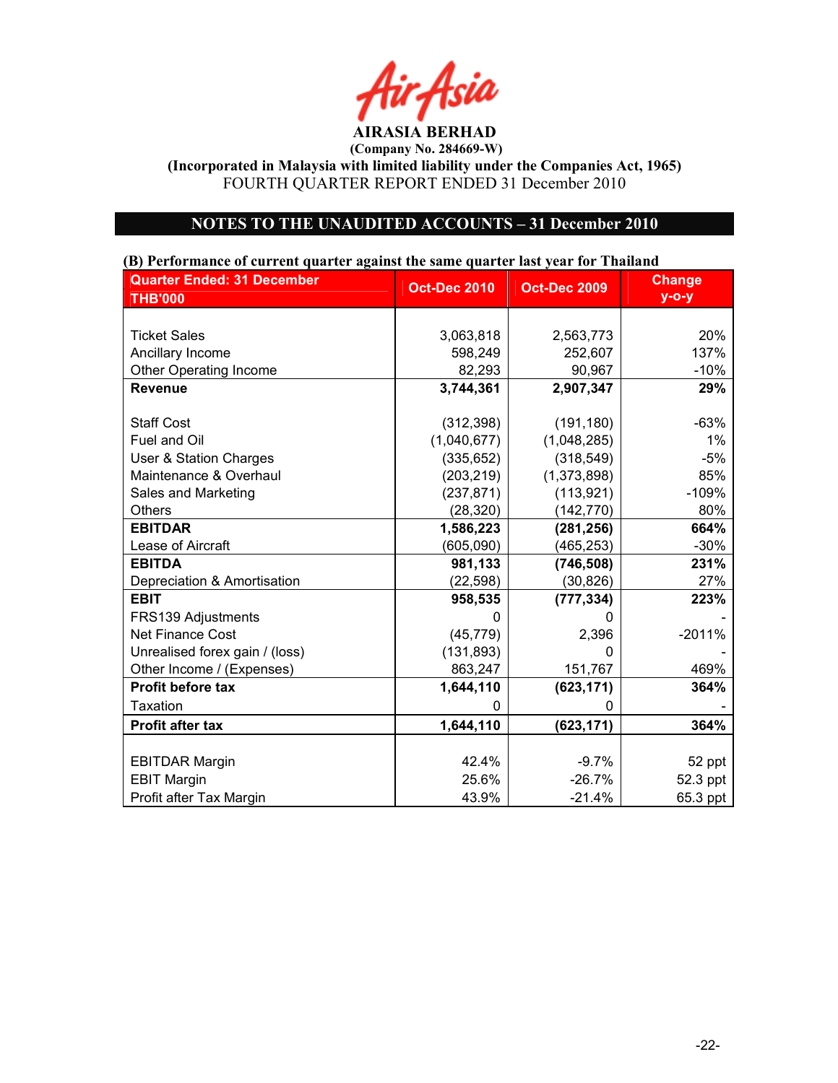Air Asia AIRASIA BERHAD

(Incorporated in Malaysia with limited liability under the Companies Act, 1965) FOURTH QUARTER REPORT ENDED 31 December 2010

# OTES TO THE UAUDITED ACCOUTS – 31 December 2010

# Quarter Ended: 31 December THB'000 Oct-Dec 2010 | Oct-Dec 2009 | Change y-o-y Ticket Sales 3,063,818 2,563,773 20% Ancillary Income 137% **137%** 137% Other Operating Income 82,293 90,967 -10% Revenue 3,744,361 2,907,347 29% Staff Cost (312,398) (191,180) -63% Fuel and Oil (1,040,677) (1,048,285) 1% User & Station Charges (335,652) (318,549) -5% Maintenance & Overhaul (203,219) (1,373,898) 85% Sales and Marketing  $(237,871)$   $(113,921)$   $-109\%$ Others (28,320) (142,770) 80% EBITDAR 1,586,223 (281,256) 664% Lease of Aircraft  $(605,090)$   $(465,253)$  -30% EBITDA 1981,133 (746,508) Depreciation & Amortisation (22,598) (30,826) 27% EBIT 958,535 (777,334) 223% FRS139 Adjustments and the contract of the contract of the contract of the contract of the contract of the contract of the contract of the contract of the contract of the contract of the contract of the contract of the con Net Finance Cost  $(45,779)$  2,396 -2011% Unrealised forex gain / (loss)  $(131,893)$   $(0.001)$ Other Income / (Expenses) 863,247 151,767 469% Profit before tax  $\begin{array}{|c|c|c|c|c|c|c|c|} \hline \end{array}$  1,644,110 (623,171) 364% Taxation 0 | 0 | -Profit after tax  $\begin{array}{|c|c|c|c|c|c|c|c|} \hline \end{array}$  1,644,110 (623,171) 364% EBITDAR Margin  $\vert$  42.4%  $\vert$  -9.7% 52 ppt EBIT Margin 25.6% -26.7% -26.7% 52.3 ppt Profit after Tax Margin **Alternative Contract 13.9%** -21.4% 65.3 ppt

#### (B) Performance of current quarter against the same quarter last year for Thailand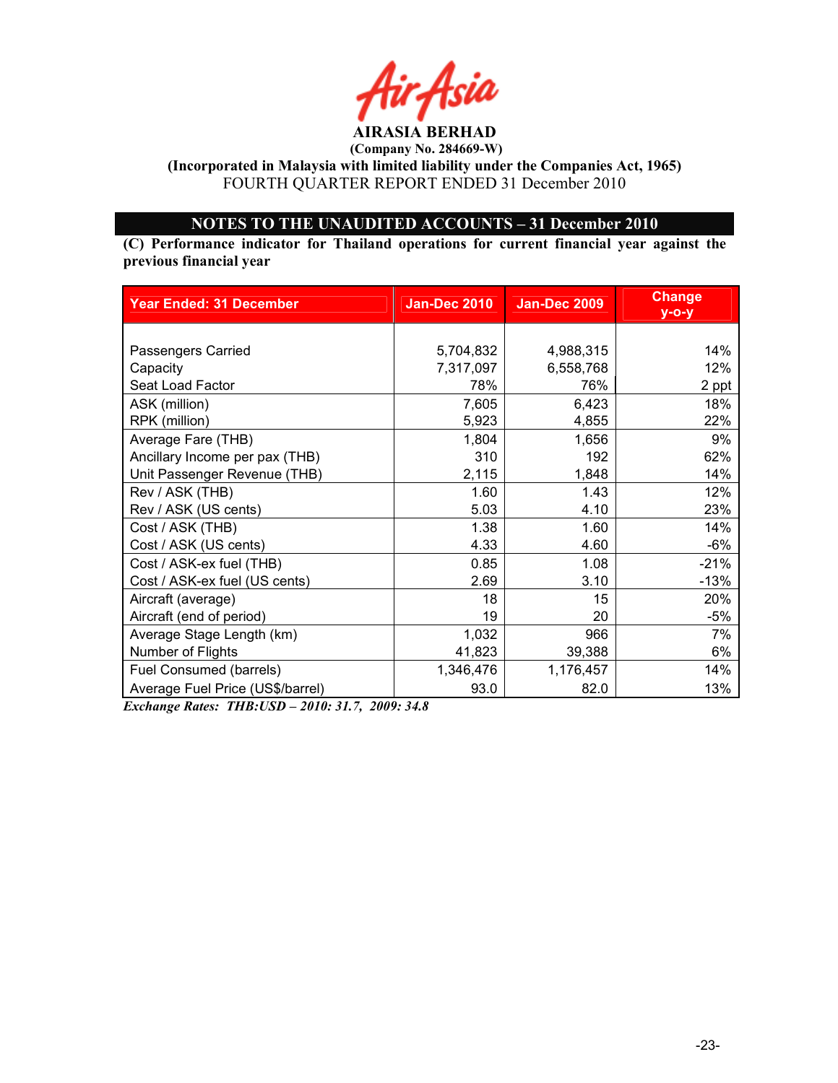

(Incorporated in Malaysia with limited liability under the Companies Act, 1965) FOURTH QUARTER REPORT ENDED 31 December 2010

# OTES TO THE UAUDITED ACCOUTS – 31 December 2010

(C) Performance indicator for Thailand operations for current financial year against the previous financial year

| <b>Year Ended: 31 December</b>   | <b>Jan-Dec 2010</b> | <b>Jan-Dec 2009</b> | <b>Change</b><br>$y - o - y$ |
|----------------------------------|---------------------|---------------------|------------------------------|
|                                  |                     |                     |                              |
| Passengers Carried               | 5,704,832           | 4,988,315           | 14%                          |
| Capacity                         | 7,317,097           | 6,558,768           | 12%                          |
| Seat Load Factor                 | 78%                 | 76%                 | 2 ppt                        |
| ASK (million)                    | 7,605               | 6,423               | 18%                          |
| RPK (million)                    | 5,923               | 4,855               | 22%                          |
| Average Fare (THB)               | 1,804               | 1,656               | 9%                           |
| Ancillary Income per pax (THB)   | 310                 | 192                 | 62%                          |
| Unit Passenger Revenue (THB)     | 2,115               | 1,848               | 14%                          |
| Rev / ASK (THB)                  | 1.60                | 1.43                | 12%                          |
| Rev / ASK (US cents)             | 5.03                | 4.10                | 23%                          |
| Cost / ASK (THB)                 | 1.38                | 1.60                | 14%                          |
| Cost / ASK (US cents)            | 4.33                | 4.60                | $-6%$                        |
| Cost / ASK-ex fuel (THB)         | 0.85                | 1.08                | $-21%$                       |
| Cost / ASK-ex fuel (US cents)    | 2.69                | 3.10                | $-13%$                       |
| Aircraft (average)               | 18                  | 15                  | 20%                          |
| Aircraft (end of period)         | 19                  | 20                  | $-5%$                        |
| Average Stage Length (km)        | 1,032               | 966                 | 7%                           |
| Number of Flights                | 41,823              | 39,388              | 6%                           |
| Fuel Consumed (barrels)          | 1,346,476           | 1,176,457           | 14%                          |
| Average Fuel Price (US\$/barrel) | 93.0                | 82.0                | 13%                          |

Exchange Rates: THB:USD – 2010: 31.7, 2009: 34.8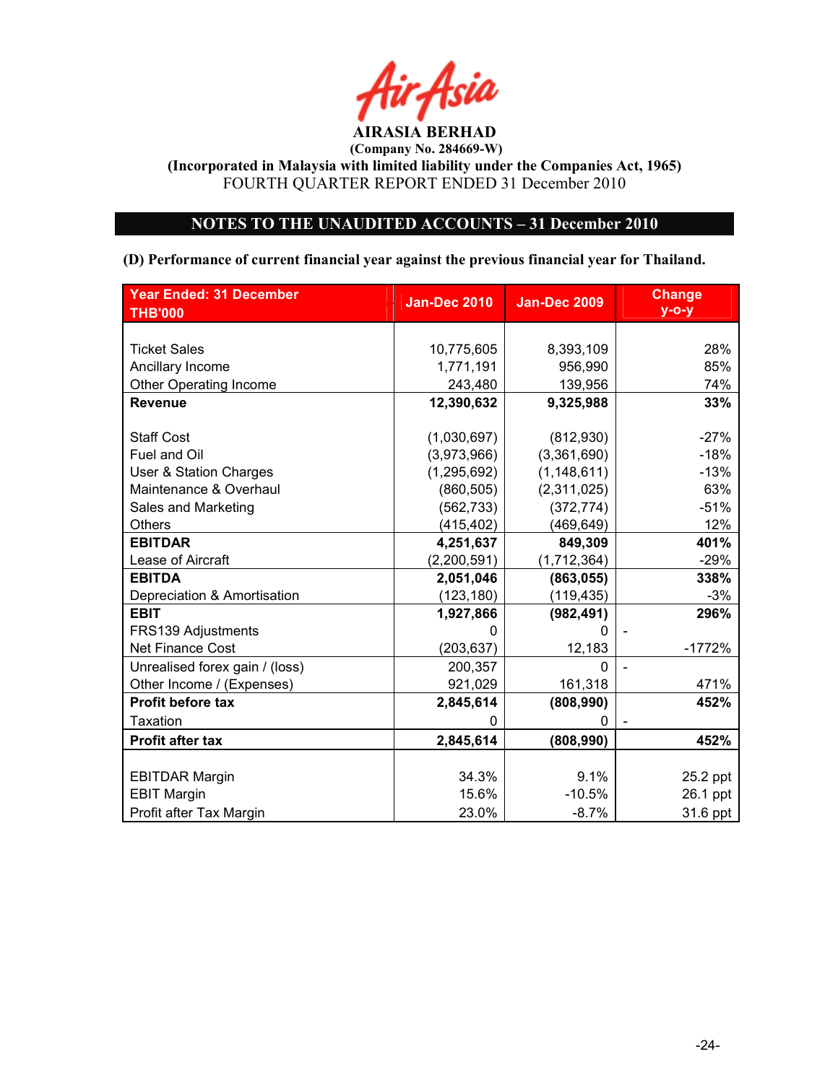

(Incorporated in Malaysia with limited liability under the Companies Act, 1965) FOURTH QUARTER REPORT ENDED 31 December 2010

# OTES TO THE UAUDITED ACCOUTS – 31 December 2010

# (D) Performance of current financial year against the previous financial year for Thailand.

| <b>Year Ended: 31 December</b> | <b>Jan-Dec 2010</b> | <b>Jan-Dec 2009</b> | <b>Change</b> |
|--------------------------------|---------------------|---------------------|---------------|
| <b>THB'000</b>                 |                     |                     | $y$ -o-y      |
|                                |                     |                     |               |
| <b>Ticket Sales</b>            | 10,775,605          | 8,393,109           | 28%           |
| Ancillary Income               | 1,771,191           | 956,990             | 85%           |
| <b>Other Operating Income</b>  | 243,480             | 139,956             | 74%           |
| <b>Revenue</b>                 | 12,390,632          | 9,325,988           | 33%           |
|                                |                     |                     |               |
| <b>Staff Cost</b>              | (1,030,697)         | (812,930)           | $-27%$        |
| Fuel and Oil                   | (3,973,966)         | (3,361,690)         | $-18%$        |
| User & Station Charges         | (1, 295, 692)       | (1, 148, 611)       | $-13%$        |
| Maintenance & Overhaul         | (860, 505)          | (2,311,025)         | 63%           |
| Sales and Marketing            | (562, 733)          | (372, 774)          | $-51%$        |
| Others                         | (415, 402)          | (469, 649)          | 12%           |
| <b>EBITDAR</b>                 | 4,251,637           | 849,309             | 401%          |
| Lease of Aircraft              | (2,200,591)         | (1,712,364)         | $-29%$        |
| <b>EBITDA</b>                  | 2,051,046           | (863, 055)          | 338%          |
| Depreciation & Amortisation    | (123, 180)          | (119, 435)          | $-3%$         |
| <b>EBIT</b>                    | 1,927,866           | (982, 491)          | 296%          |
| FRS139 Adjustments             | ი                   | ∩                   |               |
| <b>Net Finance Cost</b>        | (203, 637)          | 12,183              | $-1772%$      |
| Unrealised forex gain / (loss) | 200,357             | $\Omega$            |               |
| Other Income / (Expenses)      | 921,029             | 161,318             | 471%          |
| <b>Profit before tax</b>       | 2,845,614           | (808, 990)          | 452%          |
| <b>Taxation</b>                | $\Omega$            | $\Omega$            |               |
| <b>Profit after tax</b>        | 2,845,614           | (808, 990)          | 452%          |
|                                |                     |                     |               |
| <b>EBITDAR Margin</b>          | 34.3%               | 9.1%                | 25.2 ppt      |
| <b>EBIT Margin</b>             | 15.6%               | $-10.5%$            | 26.1 ppt      |
| Profit after Tax Margin        | 23.0%               | $-8.7%$             | 31.6 ppt      |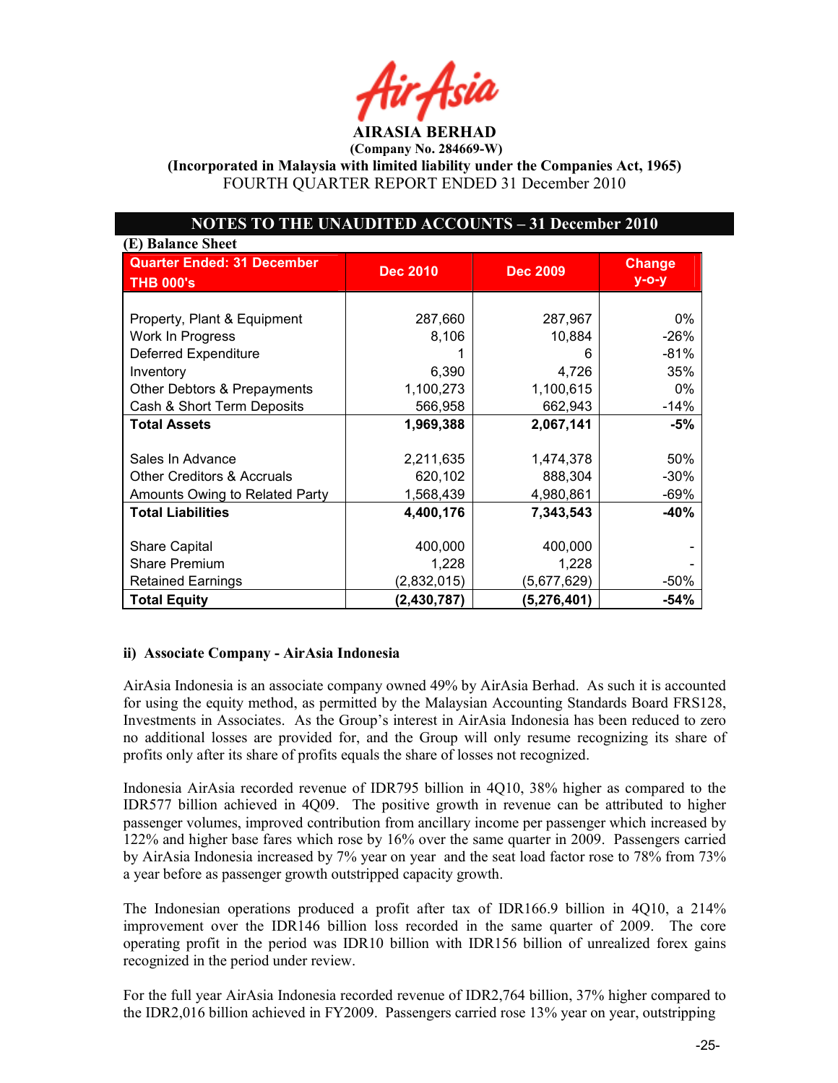AIRASIA BERHAD

 $(Compariv No. 284669-W)$ 

(Incorporated in Malaysia with limited liability under the Companies Act, 1965) FOURTH QUARTER REPORT ENDED 31 December 2010

# OTES TO THE UAUDITED ACCOUTS – 31 December 2010

| (E) Balance Sheet                     |                 |                 |               |
|---------------------------------------|-----------------|-----------------|---------------|
| <b>Quarter Ended: 31 December</b>     | <b>Dec 2010</b> | <b>Dec 2009</b> | <b>Change</b> |
| <b>THB 000's</b>                      |                 |                 | $y$ -o-y      |
|                                       |                 |                 |               |
| Property, Plant & Equipment           | 287,660         | 287,967         | 0%            |
| Work In Progress                      | 8,106           | 10,884          | $-26%$        |
| <b>Deferred Expenditure</b>           |                 | 6               | $-81%$        |
| Inventory                             | 6,390           | 4,726           | 35%           |
| Other Debtors & Prepayments           | 1,100,273       | 1,100,615       | 0%            |
| Cash & Short Term Deposits            | 566,958         | 662,943         | $-14%$        |
| <b>Total Assets</b>                   | 1,969,388       | 2,067,141       | -5%           |
|                                       |                 |                 |               |
| Sales In Advance                      | 2,211,635       | 1,474,378       | 50%           |
| <b>Other Creditors &amp; Accruals</b> | 620,102         | 888,304         | $-30%$        |
| Amounts Owing to Related Party        | 1,568,439       | 4,980,861       | $-69%$        |
| <b>Total Liabilities</b>              | 4,400,176       | 7,343,543       | $-40%$        |
|                                       |                 |                 |               |
| <b>Share Capital</b>                  | 400,000         | 400,000         |               |
| <b>Share Premium</b>                  | 1,228           | 1,228           |               |
| <b>Retained Earnings</b>              | (2,832,015)     | (5,677,629)     | $-50\%$       |
| <b>Total Equity</b>                   | (2, 430, 787)   | (5, 276, 401)   | -54%          |

## ii) Associate Company - AirAsia Indonesia

AirAsia Indonesia is an associate company owned 49% by AirAsia Berhad. As such it is accounted for using the equity method, as permitted by the Malaysian Accounting Standards Board FRS128, Investments in Associates. As the Group's interest in AirAsia Indonesia has been reduced to zero no additional losses are provided for, and the Group will only resume recognizing its share of profits only after its share of profits equals the share of losses not recognized.

Indonesia AirAsia recorded revenue of IDR795 billion in 4Q10, 38% higher as compared to the IDR577 billion achieved in 4Q09. The positive growth in revenue can be attributed to higher passenger volumes, improved contribution from ancillary income per passenger which increased by 122% and higher base fares which rose by 16% over the same quarter in 2009. Passengers carried by AirAsia Indonesia increased by 7% year on year and the seat load factor rose to 78% from 73% a year before as passenger growth outstripped capacity growth.

The Indonesian operations produced a profit after tax of IDR166.9 billion in 4Q10, a 214% improvement over the IDR146 billion loss recorded in the same quarter of 2009. The core operating profit in the period was IDR10 billion with IDR156 billion of unrealized forex gains recognized in the period under review.

For the full year AirAsia Indonesia recorded revenue of IDR2,764 billion, 37% higher compared to the IDR2,016 billion achieved in FY2009. Passengers carried rose 13% year on year, outstripping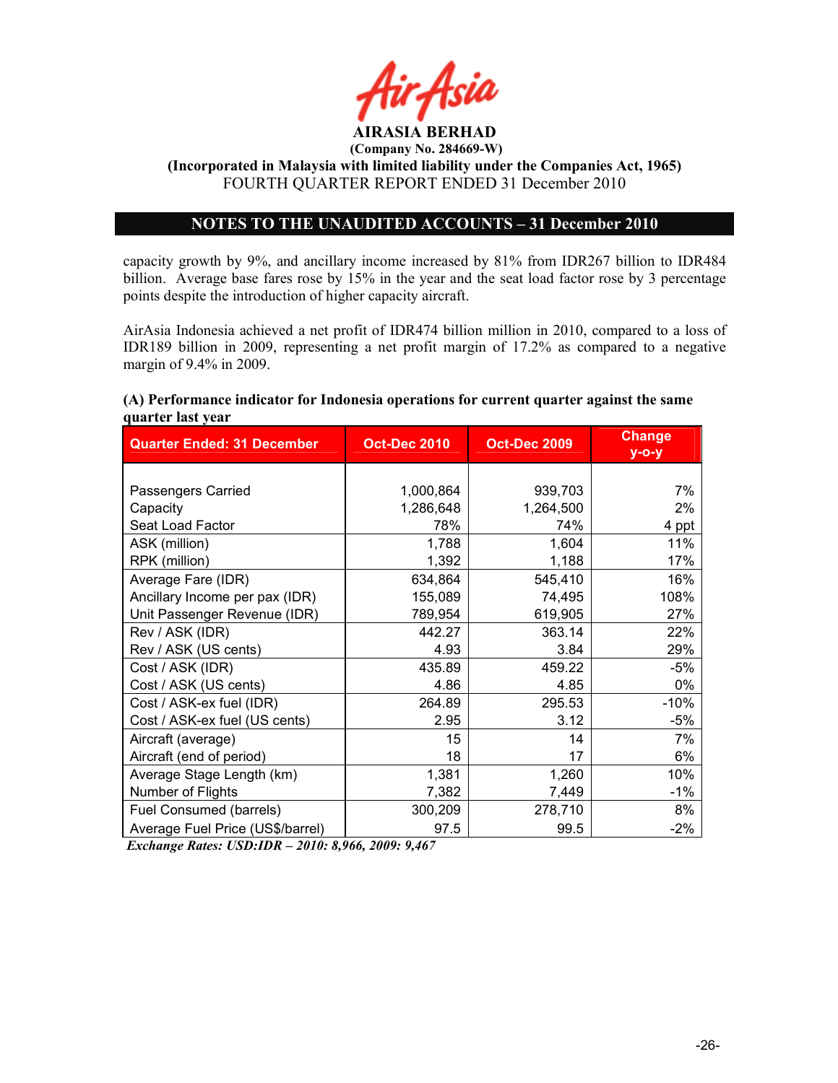

# NOTES TO THE UNAUDITED ACCOUNTS – 31 December 2010

capacity growth by 9%, and ancillary income increased by 81% from IDR267 billion to IDR484 billion. Average base fares rose by 15% in the year and the seat load factor rose by 3 percentage points despite the introduction of higher capacity aircraft.

AirAsia Indonesia achieved a net profit of IDR474 billion million in 2010, compared to a loss of IDR189 billion in 2009, representing a net profit margin of 17.2% as compared to a negative margin of 9.4% in 2009.

|                   |  |  |  | (A) Performance indicator for Indonesia operations for current quarter against the same |
|-------------------|--|--|--|-----------------------------------------------------------------------------------------|
| quarter last year |  |  |  |                                                                                         |
|                   |  |  |  | Change                                                                                  |

| <b>Quarter Ended: 31 December</b> | <b>Oct-Dec 2010</b> | <b>Oct-Dec 2009</b> | <b>Change</b><br>$y$ -o-y |
|-----------------------------------|---------------------|---------------------|---------------------------|
|                                   |                     |                     |                           |
| Passengers Carried                | 1,000,864           | 939,703             | 7%                        |
| Capacity                          | 1,286,648           | 1,264,500           | 2%                        |
| Seat Load Factor                  | 78%                 | 74%                 | 4 ppt                     |
| ASK (million)                     | 1,788               | 1,604               | 11%                       |
| RPK (million)                     | 1,392               | 1,188               | 17%                       |
| Average Fare (IDR)                | 634,864             | 545,410             | 16%                       |
| Ancillary Income per pax (IDR)    | 155,089             | 74,495              | 108%                      |
| Unit Passenger Revenue (IDR)      | 789,954             | 619,905             | 27%                       |
| Rev / ASK (IDR)                   | 442.27              | 363.14              | 22%                       |
| Rev / ASK (US cents)              | 4.93                | 3.84                | 29%                       |
| Cost / ASK (IDR)                  | 435.89              | 459.22              | -5%                       |
| Cost / ASK (US cents)             | 4.86                | 4.85                | 0%                        |
| Cost / ASK-ex fuel (IDR)          | 264.89              | 295.53              | $-10%$                    |
| Cost / ASK-ex fuel (US cents)     | 2.95                | 3.12                | $-5%$                     |
| Aircraft (average)                | 15                  | 14                  | 7%                        |
| Aircraft (end of period)          | 18                  | 17                  | 6%                        |
| Average Stage Length (km)         | 1,381               | 1,260               | 10%                       |
| Number of Flights                 | 7,382               | 7,449               | $-1\%$                    |
| Fuel Consumed (barrels)           | 300,209             | 278,710             | 8%                        |
| Average Fuel Price (US\$/barrel)  | 97.5                | 99.5                | $-2\%$                    |

Exchange Rates: USD:IDR – 2010: 8,966, 2009: 9,467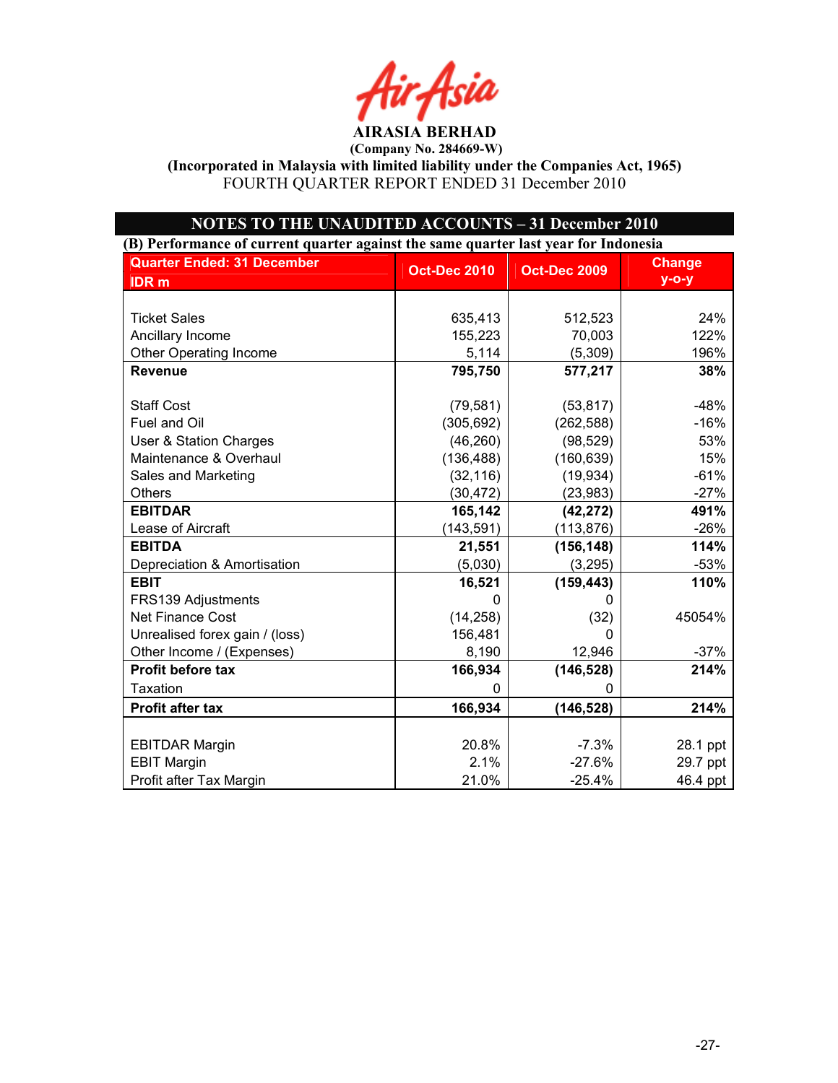AIRASIA BERHAD

(Incorporated in Malaysia with limited liability under the Companies Act, 1965) FOURTH QUARTER REPORT ENDED 31 December 2010

| <b>NOTES TO THE UNAUDITED ACCOUNTS - 31 December 2010</b>                           |                     |                     |               |  |
|-------------------------------------------------------------------------------------|---------------------|---------------------|---------------|--|
| (B) Performance of current quarter against the same quarter last year for Indonesia |                     |                     |               |  |
| <b>Quarter Ended: 31 December</b>                                                   | <b>Oct-Dec 2010</b> | <b>Oct-Dec 2009</b> | <b>Change</b> |  |
| <b>IDR</b> m                                                                        |                     |                     | $y$ -o-y      |  |
|                                                                                     |                     |                     |               |  |
| <b>Ticket Sales</b>                                                                 | 635,413             | 512,523             | 24%           |  |
| Ancillary Income                                                                    | 155,223             | 70,003              | 122%          |  |
| <b>Other Operating Income</b>                                                       | 5,114               | (5,309)             | 196%          |  |
| <b>Revenue</b>                                                                      | 795,750             | 577,217             | 38%           |  |
| <b>Staff Cost</b>                                                                   | (79, 581)           | (53, 817)           | $-48%$        |  |
| Fuel and Oil                                                                        | (305, 692)          | (262, 588)          | $-16%$        |  |
| User & Station Charges                                                              | (46, 260)           | (98, 529)           | 53%           |  |
| Maintenance & Overhaul                                                              | (136, 488)          | (160, 639)          | 15%           |  |
| Sales and Marketing                                                                 | (32, 116)           | (19, 934)           | $-61%$        |  |
| <b>Others</b>                                                                       | (30, 472)           | (23, 983)           | $-27%$        |  |
| <b>EBITDAR</b>                                                                      | 165,142             | (42, 272)           | 491%          |  |
| Lease of Aircraft                                                                   | (143, 591)          | (113, 876)          | $-26%$        |  |
| <b>EBITDA</b>                                                                       | 21,551              | (156, 148)          | 114%          |  |
| Depreciation & Amortisation                                                         | (5,030)             | (3, 295)            | $-53%$        |  |
| <b>EBIT</b>                                                                         | 16,521              | (159, 443)          | 110%          |  |
| FRS139 Adjustments                                                                  | 0                   | 0                   |               |  |
| <b>Net Finance Cost</b>                                                             | (14, 258)           | (32)                | 45054%        |  |
| Unrealised forex gain / (loss)                                                      | 156,481             | 0                   |               |  |
| Other Income / (Expenses)                                                           | 8,190               | 12,946              | $-37%$        |  |
| Profit before tax                                                                   | 166,934             | (146, 528)          | 214%          |  |
| <b>Taxation</b>                                                                     | $\Omega$            | 0                   |               |  |
| <b>Profit after tax</b>                                                             | 166,934             | (146, 528)          | 214%          |  |
|                                                                                     |                     |                     |               |  |
| <b>EBITDAR Margin</b>                                                               | 20.8%               | $-7.3%$             | 28.1 ppt      |  |
| <b>EBIT Margin</b>                                                                  | 2.1%                | $-27.6%$            | 29.7 ppt      |  |
| Profit after Tax Margin                                                             | 21.0%               | $-25.4%$            | 46.4 ppt      |  |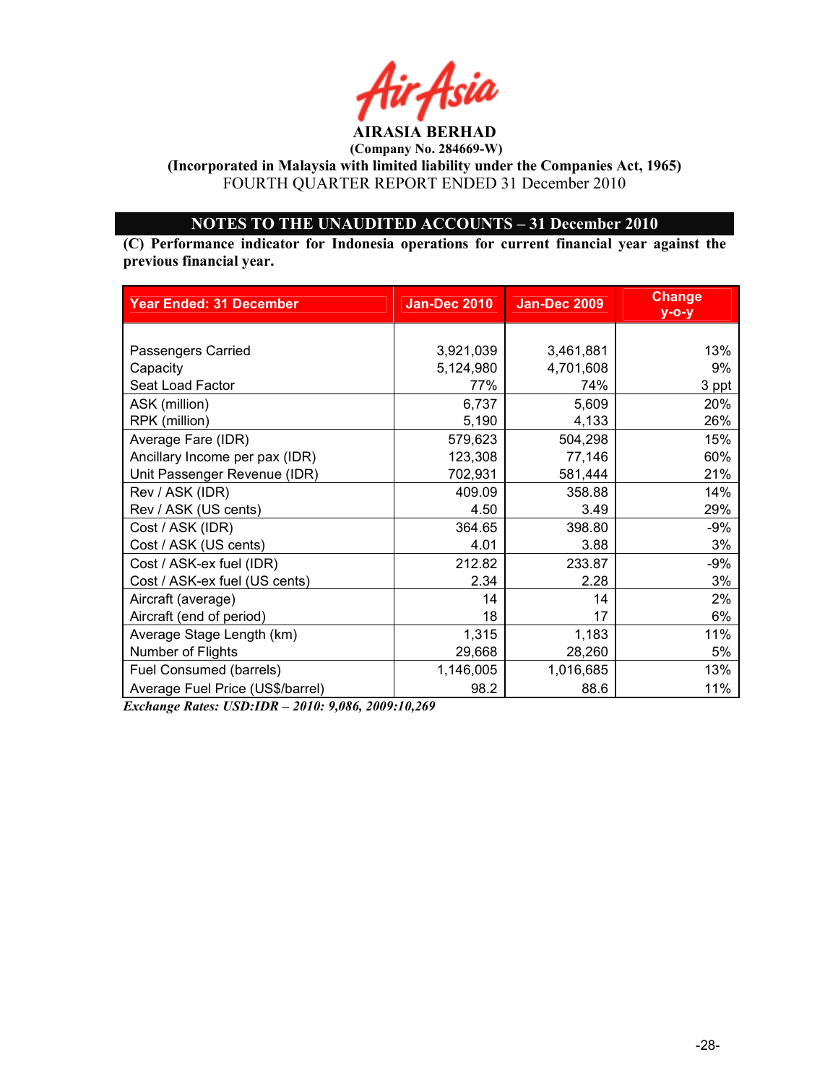

(Incorporated in Malaysia with limited liability under the Companies Act, 1965) FOURTH QUARTER REPORT ENDED 31 December 2010

# OTES TO THE UAUDITED ACCOUTS – 31 December 2010

(C) Performance indicator for Indonesia operations for current financial year against the previous financial year.

| <b>Year Ended: 31 December</b>   | <b>Jan-Dec 2010</b> | <b>Jan-Dec 2009</b> | <b>Change</b><br>$y$ -o-y |
|----------------------------------|---------------------|---------------------|---------------------------|
|                                  |                     |                     |                           |
| Passengers Carried               | 3,921,039           | 3,461,881           | 13%                       |
| Capacity                         | 5,124,980           | 4,701,608           | 9%                        |
| Seat Load Factor                 | 77%                 | 74%                 | 3 ppt                     |
| ASK (million)                    | 6,737               | 5,609               | 20%                       |
| RPK (million)                    | 5,190               | 4,133               | 26%                       |
| Average Fare (IDR)               | 579,623             | 504,298             | 15%                       |
| Ancillary Income per pax (IDR)   | 123,308             | 77,146              | 60%                       |
| Unit Passenger Revenue (IDR)     | 702,931             | 581,444             | 21%                       |
| Rev / ASK (IDR)                  | 409.09              | 358.88              | 14%                       |
| Rev / ASK (US cents)             | 4.50                | 3.49                | 29%                       |
| Cost / ASK (IDR)                 | 364.65              | 398.80              | $-9%$                     |
| Cost / ASK (US cents)            | 4.01                | 3.88                | 3%                        |
| Cost / ASK-ex fuel (IDR)         | 212.82              | 233.87              | $-9%$                     |
| Cost / ASK-ex fuel (US cents)    | 2.34                | 2.28                | 3%                        |
| Aircraft (average)               | 14                  | 14                  | 2%                        |
| Aircraft (end of period)         | 18                  | 17                  | 6%                        |
| Average Stage Length (km)        | 1,315               | 1,183               | 11%                       |
| Number of Flights                | 29,668              | 28,260              | 5%                        |
| Fuel Consumed (barrels)          | 1,146,005           | 1,016,685           | 13%                       |
| Average Fuel Price (US\$/barrel) | 98.2                | 88.6                | 11%                       |

Exchange Rates: USD:IDR – 2010: 9,086, 2009:10,269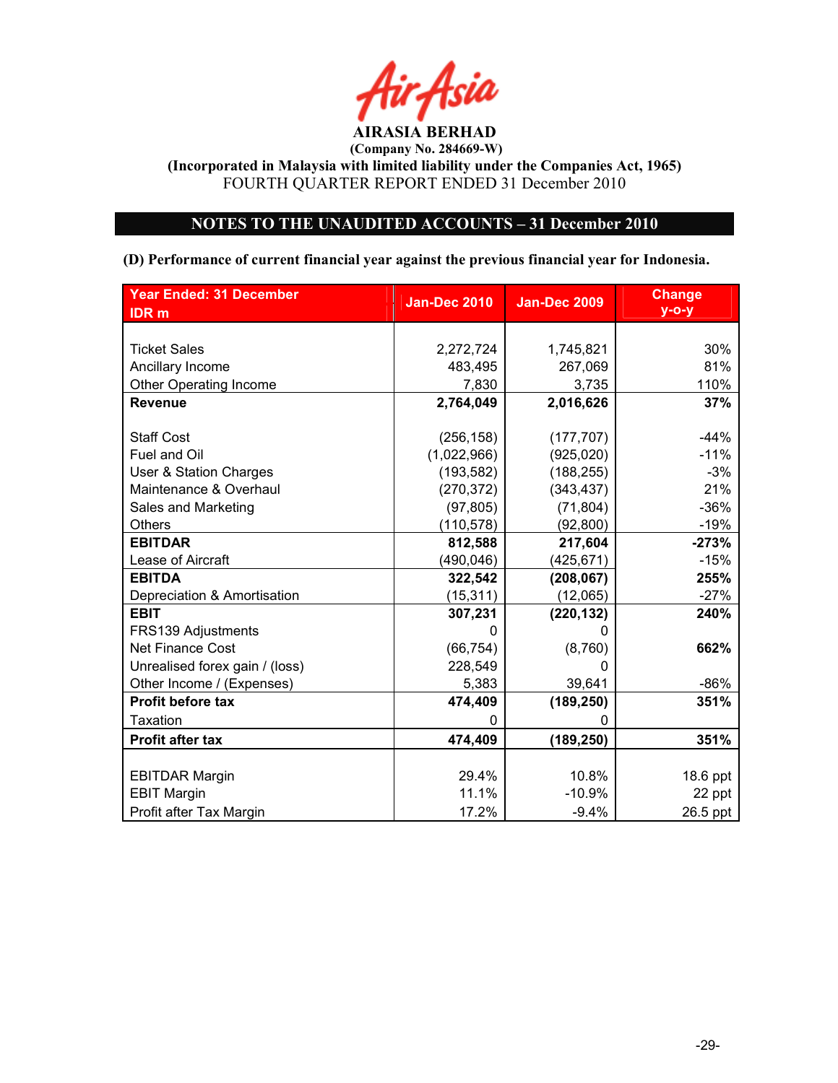

(Incorporated in Malaysia with limited liability under the Companies Act, 1965) FOURTH QUARTER REPORT ENDED 31 December 2010

# OTES TO THE UAUDITED ACCOUTS – 31 December 2010

## (D) Performance of current financial year against the previous financial year for Indonesia.

| <b>Year Ended: 31 December</b> | <b>Jan-Dec 2010</b> | <b>Jan-Dec 2009</b> | <b>Change</b> |
|--------------------------------|---------------------|---------------------|---------------|
| <b>IDR</b> m                   |                     |                     | $y$ -o-y      |
|                                |                     |                     |               |
| <b>Ticket Sales</b>            | 2,272,724           | 1,745,821           | 30%           |
| Ancillary Income               | 483,495             | 267,069             | 81%           |
| <b>Other Operating Income</b>  | 7,830               | 3,735               | 110%          |
| <b>Revenue</b>                 | 2,764,049           | 2,016,626           | 37%           |
|                                |                     |                     |               |
| <b>Staff Cost</b>              | (256, 158)          | (177, 707)          | $-44%$        |
| Fuel and Oil                   | (1,022,966)         | (925, 020)          | $-11%$        |
| User & Station Charges         | (193, 582)          | (188, 255)          | $-3%$         |
| Maintenance & Overhaul         | (270, 372)          | (343, 437)          | 21%           |
| Sales and Marketing            | (97, 805)           | (71, 804)           | $-36%$        |
| <b>Others</b>                  | (110, 578)          | (92, 800)           | $-19%$        |
| <b>EBITDAR</b>                 | 812,588             | 217,604             | $-273%$       |
| Lease of Aircraft              | (490, 046)          | (425, 671)          | $-15%$        |
| <b>EBITDA</b>                  | 322,542             | (208, 067)          | 255%          |
| Depreciation & Amortisation    | (15, 311)           | (12,065)            | $-27%$        |
| <b>EBIT</b>                    | 307,231             | (220, 132)          | 240%          |
| FRS139 Adjustments             | 0                   | 0                   |               |
| <b>Net Finance Cost</b>        | (66, 754)           | (8,760)             | 662%          |
| Unrealised forex gain / (loss) | 228,549             | 0                   |               |
| Other Income / (Expenses)      | 5,383               | 39,641              | $-86%$        |
| <b>Profit before tax</b>       | 474,409             | (189, 250)          | 351%          |
| Taxation                       | $\Omega$            | 0                   |               |
| <b>Profit after tax</b>        | 474,409             | (189, 250)          | 351%          |
|                                |                     |                     |               |
| <b>EBITDAR Margin</b>          | 29.4%               | 10.8%               | 18.6 ppt      |
| <b>EBIT Margin</b>             | 11.1%               | $-10.9%$            | 22 ppt        |
| Profit after Tax Margin        | 17.2%               | $-9.4%$             | 26.5 ppt      |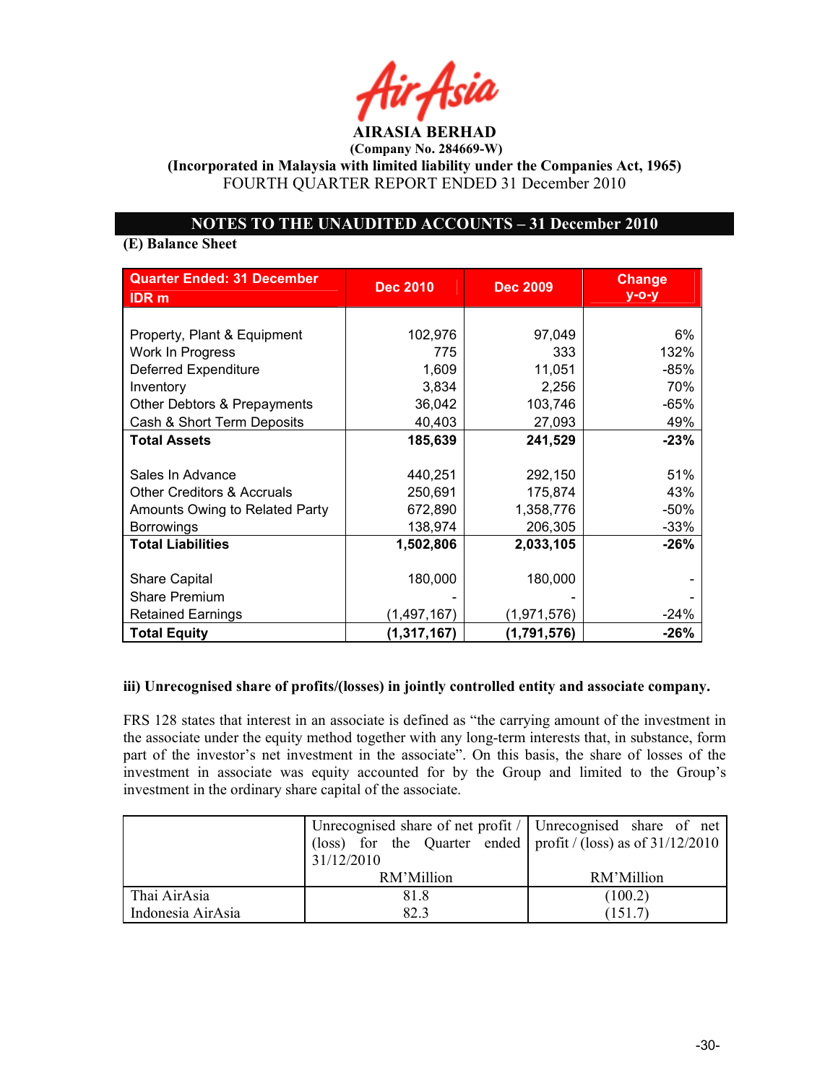AIRASIA BERHAD

(Incorporated in Malaysia with limited liability under the Companies Act, 1965) FOURTH QUARTER REPORT ENDED 31 December 2010

# OTES TO THE UAUDITED ACCOUTS – 31 December 2010

# (E) Balance Sheet

| <b>Quarter Ended: 31 December</b><br><b>IDR</b> <sub>m</sub> | <b>Dec 2010</b> | <b>Dec 2009</b> | <b>Change</b><br>$y$ -o-y |
|--------------------------------------------------------------|-----------------|-----------------|---------------------------|
|                                                              |                 |                 |                           |
| Property, Plant & Equipment                                  | 102,976         | 97,049          | 6%                        |
| Work In Progress                                             | 775             | 333             | 132%                      |
| <b>Deferred Expenditure</b>                                  | 1,609           | 11,051          | -85%                      |
| Inventory                                                    | 3,834           | 2,256           | 70%                       |
| Other Debtors & Prepayments                                  | 36,042          | 103,746         | $-65%$                    |
| Cash & Short Term Deposits                                   | 40,403          | 27,093          | 49%                       |
| <b>Total Assets</b>                                          | 185,639         | 241,529         | $-23%$                    |
|                                                              |                 |                 |                           |
| Sales In Advance                                             | 440,251         | 292,150         | 51%                       |
| <b>Other Creditors &amp; Accruals</b>                        | 250,691         | 175,874         | 43%                       |
| Amounts Owing to Related Party                               | 672,890         | 1,358,776       | $-50%$                    |
| <b>Borrowings</b>                                            | 138,974         | 206,305         | $-33%$                    |
| <b>Total Liabilities</b>                                     | 1,502,806       | 2,033,105       | $-26%$                    |
|                                                              |                 |                 |                           |
| <b>Share Capital</b>                                         | 180,000         | 180,000         |                           |
| <b>Share Premium</b>                                         |                 |                 |                           |
| <b>Retained Earnings</b>                                     | (1, 497, 167)   | (1,971,576)     | $-24%$                    |
| <b>Total Equity</b>                                          | (1, 317, 167)   | (1,791,576)     | $-26%$                    |

## iii) Unrecognised share of profits/(losses) in jointly controlled entity and associate company.

FRS 128 states that interest in an associate is defined as "the carrying amount of the investment in the associate under the equity method together with any long-term interests that, in substance, form part of the investor's net investment in the associate". On this basis, the share of losses of the investment in associate was equity accounted for by the Group and limited to the Group's investment in the ordinary share capital of the associate.

|                   | Unrecognised share of net profit $\ell$ Unrecognised share of net |            |  |
|-------------------|-------------------------------------------------------------------|------------|--|
|                   | (loss) for the Quarter ended   profit / (loss) as of $31/12/2010$ |            |  |
|                   | 31/12/2010                                                        |            |  |
|                   | RM'Million                                                        | RM'Million |  |
| Thai AirAsia      | 81.8                                                              | (100.2)    |  |
| Indonesia AirAsia | 82.3                                                              | (151.7)    |  |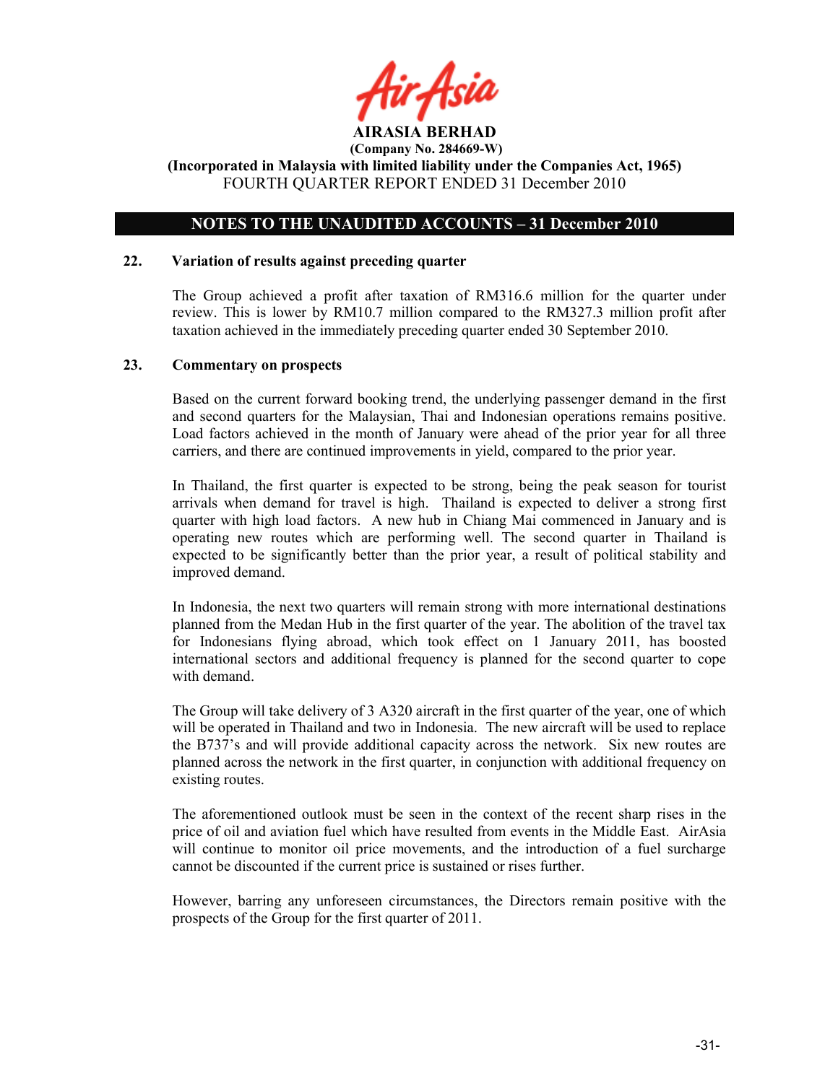

# OTES TO THE UAUDITED ACCOUTS – 31 December 2010

#### 22. Variation of results against preceding quarter

The Group achieved a profit after taxation of RM316.6 million for the quarter under review. This is lower by RM10.7 million compared to the RM327.3 million profit after taxation achieved in the immediately preceding quarter ended 30 September 2010.

#### 23. Commentary on prospects

Based on the current forward booking trend, the underlying passenger demand in the first and second quarters for the Malaysian, Thai and Indonesian operations remains positive. Load factors achieved in the month of January were ahead of the prior year for all three carriers, and there are continued improvements in yield, compared to the prior year.

In Thailand, the first quarter is expected to be strong, being the peak season for tourist arrivals when demand for travel is high. Thailand is expected to deliver a strong first quarter with high load factors. A new hub in Chiang Mai commenced in January and is operating new routes which are performing well. The second quarter in Thailand is expected to be significantly better than the prior year, a result of political stability and improved demand.

In Indonesia, the next two quarters will remain strong with more international destinations planned from the Medan Hub in the first quarter of the year. The abolition of the travel tax for Indonesians flying abroad, which took effect on 1 January 2011, has boosted international sectors and additional frequency is planned for the second quarter to cope with demand.

The Group will take delivery of 3 A320 aircraft in the first quarter of the year, one of which will be operated in Thailand and two in Indonesia. The new aircraft will be used to replace the B737's and will provide additional capacity across the network. Six new routes are planned across the network in the first quarter, in conjunction with additional frequency on existing routes.

The aforementioned outlook must be seen in the context of the recent sharp rises in the price of oil and aviation fuel which have resulted from events in the Middle East. AirAsia will continue to monitor oil price movements, and the introduction of a fuel surcharge cannot be discounted if the current price is sustained or rises further.

However, barring any unforeseen circumstances, the Directors remain positive with the prospects of the Group for the first quarter of 2011.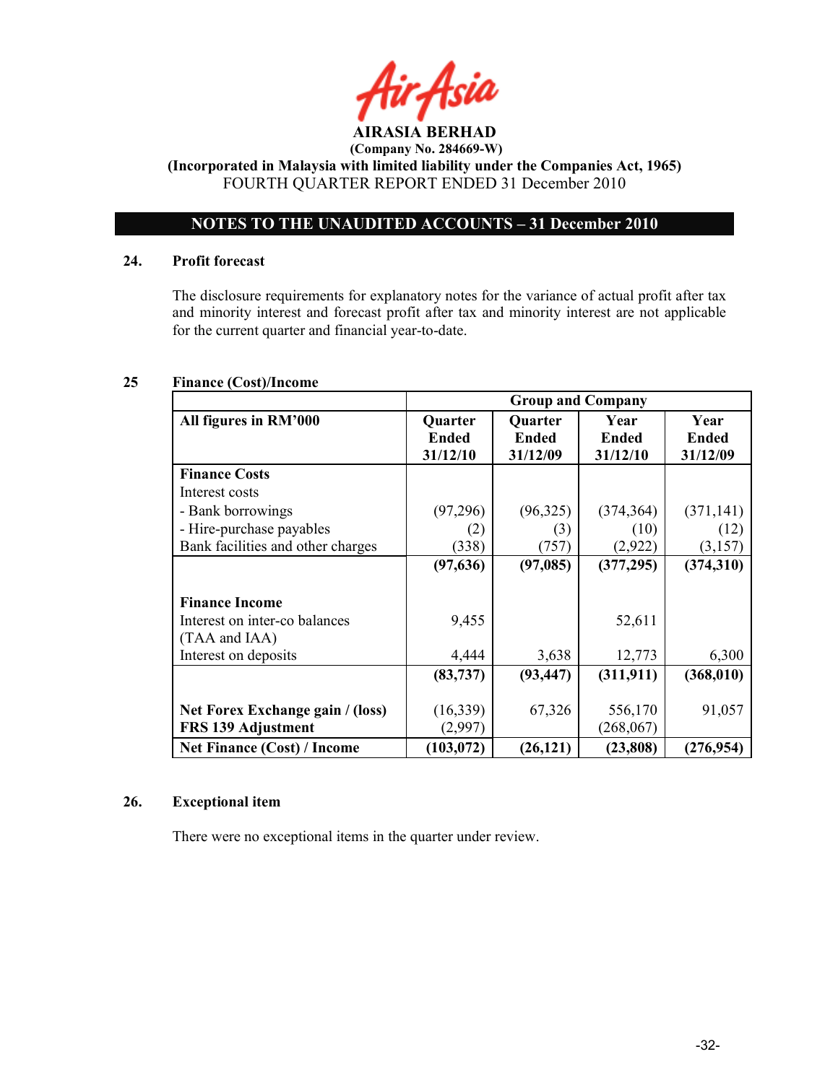

(Company No. 284669-W) (Incorporated in Malaysia with limited liability under the Companies Act, 1965)

FOURTH QUARTER REPORT ENDED 31 December 2010

# OTES TO THE UAUDITED ACCOUTS – 31 December 2010

# 24. Profit forecast

The disclosure requirements for explanatory notes for the variance of actual profit after tax and minority interest and forecast profit after tax and minority interest are not applicable for the current quarter and financial year-to-date.

# 25 Finance (Cost)/Income

|                                    | <b>Group and Company</b> |                          |                   |                          |
|------------------------------------|--------------------------|--------------------------|-------------------|--------------------------|
| All figures in RM'000              | <b>Quarter</b>           | Quarter                  | Year              | Year                     |
|                                    | Ended<br>31/12/10        | <b>Ended</b><br>31/12/09 | Ended<br>31/12/10 | <b>Ended</b><br>31/12/09 |
| <b>Finance Costs</b>               |                          |                          |                   |                          |
| Interest costs                     |                          |                          |                   |                          |
| - Bank borrowings                  | (97,296)                 | (96, 325)                | (374, 364)        | (371, 141)               |
| - Hire-purchase payables           | (2)                      | (3)                      | (10)              | (12)                     |
| Bank facilities and other charges  | (338)                    | (757)                    | (2,922)           | (3,157)                  |
|                                    | (97, 636)                | (97,085)                 | (377, 295)        | (374,310)                |
|                                    |                          |                          |                   |                          |
| <b>Finance Income</b>              |                          |                          |                   |                          |
| Interest on inter-co balances      | 9,455                    |                          | 52,611            |                          |
| (TAA and IAA)                      |                          |                          |                   |                          |
| Interest on deposits               | 4,444                    | 3,638                    | 12,773            | 6,300                    |
|                                    | (83, 737)                | (93, 447)                | (311, 911)        | (368, 010)               |
|                                    |                          |                          |                   |                          |
| Net Forex Exchange gain / (loss)   | (16,339)                 | 67,326                   | 556,170           | 91,057                   |
| <b>FRS 139 Adjustment</b>          | (2,997)                  |                          | (268, 067)        |                          |
| <b>Net Finance (Cost) / Income</b> | (103, 072)               | (26, 121)                | (23, 808)         | (276, 954)               |

# 26. Exceptional item

There were no exceptional items in the quarter under review.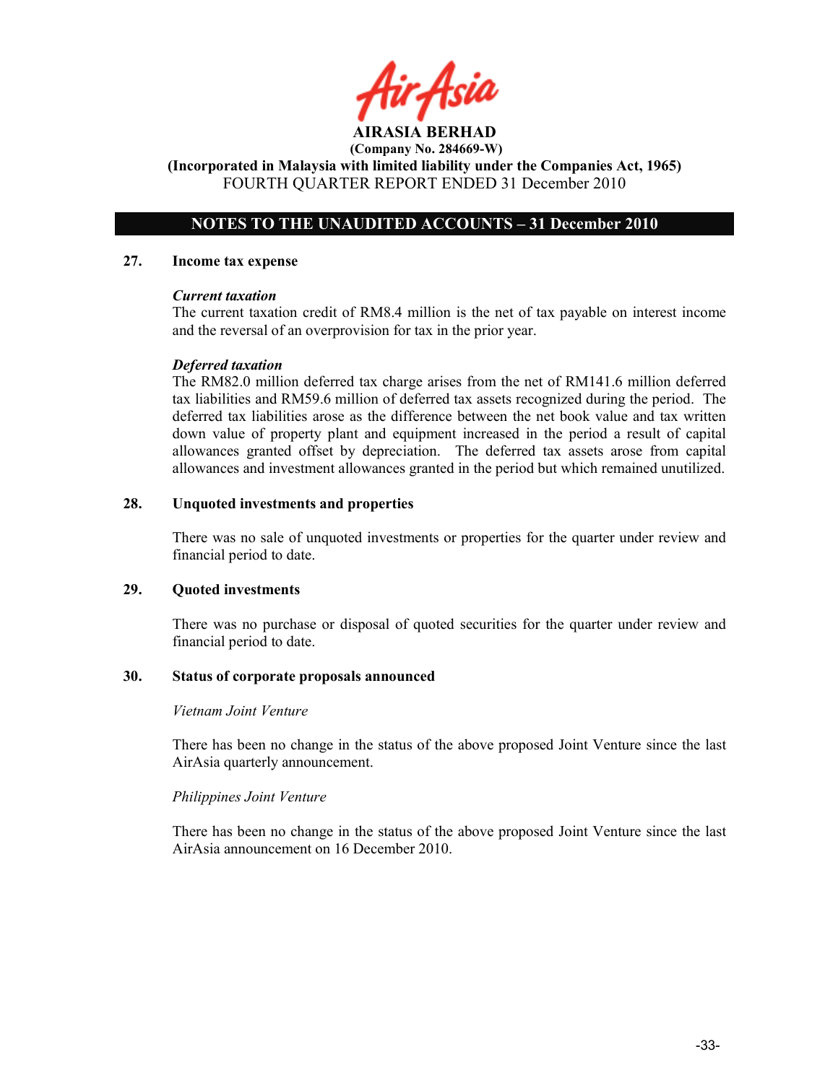ir Asid

AIRASIA BERHAD (Company No. 284669-W)

(Incorporated in Malaysia with limited liability under the Companies Act, 1965) FOURTH QUARTER REPORT ENDED 31 December 2010

# OTES TO THE UAUDITED ACCOUTS – 31 December 2010

#### 27. Income tax expense

#### Current taxation

The current taxation credit of RM8.4 million is the net of tax payable on interest income and the reversal of an overprovision for tax in the prior year.

#### Deferred taxation

The RM82.0 million deferred tax charge arises from the net of RM141.6 million deferred tax liabilities and RM59.6 million of deferred tax assets recognized during the period. The deferred tax liabilities arose as the difference between the net book value and tax written down value of property plant and equipment increased in the period a result of capital allowances granted offset by depreciation. The deferred tax assets arose from capital allowances and investment allowances granted in the period but which remained unutilized.

## 28. Unquoted investments and properties

There was no sale of unquoted investments or properties for the quarter under review and financial period to date.

#### 29. Quoted investments

There was no purchase or disposal of quoted securities for the quarter under review and financial period to date.

## 30. Status of corporate proposals announced

#### Vietnam Joint Venture

There has been no change in the status of the above proposed Joint Venture since the last AirAsia quarterly announcement.

## Philippines Joint Venture

There has been no change in the status of the above proposed Joint Venture since the last AirAsia announcement on 16 December 2010.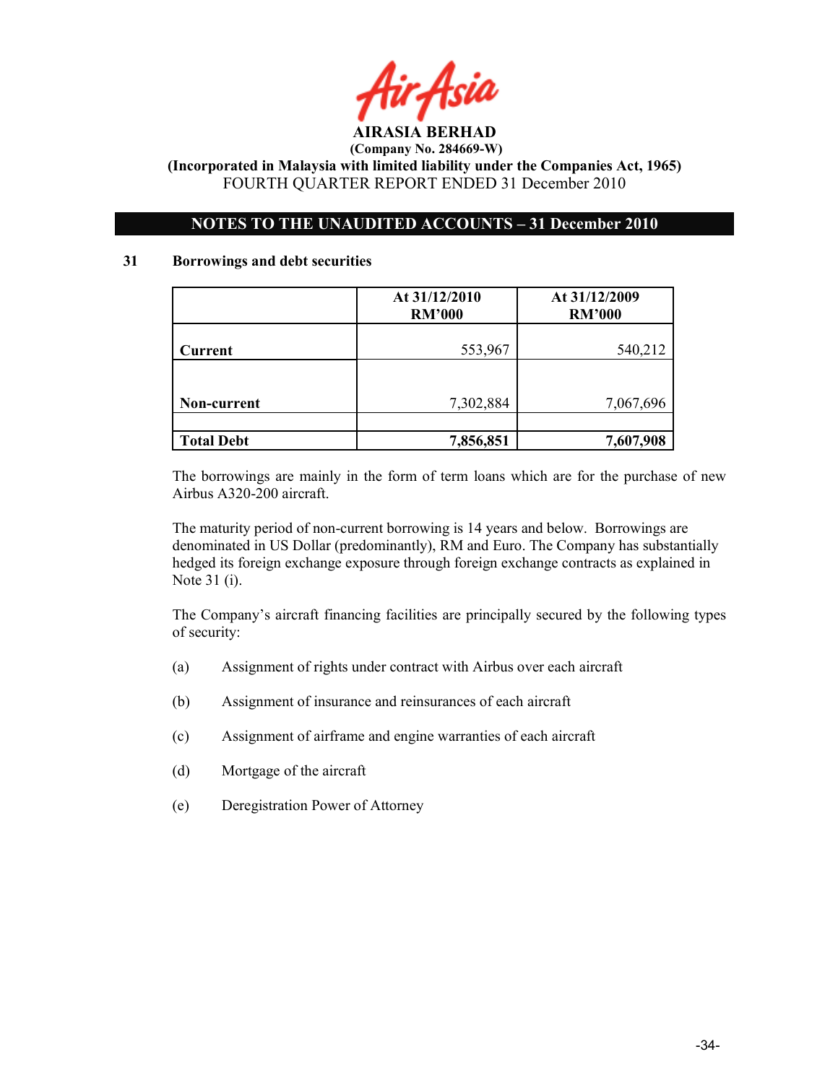

# OTES TO THE UAUDITED ACCOUTS – 31 December 2010

## 31 Borrowings and debt securities

|                   | At 31/12/2010<br><b>RM'000</b> | At 31/12/2009<br><b>RM'000</b> |
|-------------------|--------------------------------|--------------------------------|
| <b>Current</b>    | 553,967                        | 540,212                        |
|                   |                                |                                |
| Non-current       | 7,302,884                      | 7,067,696                      |
|                   |                                |                                |
| <b>Total Debt</b> | 7,856,851                      | 7,607,908                      |

The borrowings are mainly in the form of term loans which are for the purchase of new Airbus A320-200 aircraft.

The maturity period of non-current borrowing is 14 years and below. Borrowings are denominated in US Dollar (predominantly), RM and Euro. The Company has substantially hedged its foreign exchange exposure through foreign exchange contracts as explained in Note 31 (i).

The Company's aircraft financing facilities are principally secured by the following types of security:

- (a) Assignment of rights under contract with Airbus over each aircraft
- (b) Assignment of insurance and reinsurances of each aircraft
- (c) Assignment of airframe and engine warranties of each aircraft
- (d) Mortgage of the aircraft
- (e) Deregistration Power of Attorney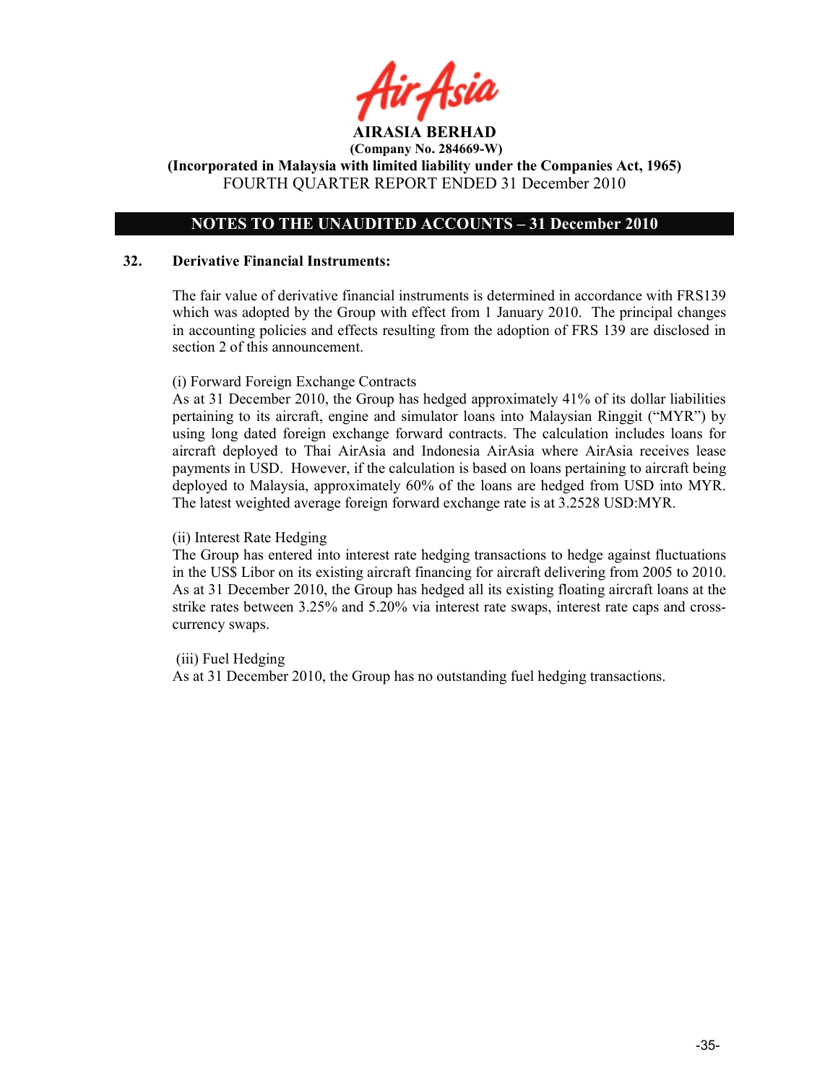# OTES TO THE UAUDITED ACCOUTS – 31 December 2010

#### 32. Derivative Financial Instruments:

The fair value of derivative financial instruments is determined in accordance with FRS139 which was adopted by the Group with effect from 1 January 2010. The principal changes in accounting policies and effects resulting from the adoption of FRS 139 are disclosed in section 2 of this announcement.

#### (i) Forward Foreign Exchange Contracts

As at 31 December 2010, the Group has hedged approximately 41% of its dollar liabilities pertaining to its aircraft, engine and simulator loans into Malaysian Ringgit ("MYR") by using long dated foreign exchange forward contracts. The calculation includes loans for aircraft deployed to Thai AirAsia and Indonesia AirAsia where AirAsia receives lease payments in USD. However, if the calculation is based on loans pertaining to aircraft being deployed to Malaysia, approximately 60% of the loans are hedged from USD into MYR. The latest weighted average foreign forward exchange rate is at 3.2528 USD:MYR.

#### (ii) Interest Rate Hedging

The Group has entered into interest rate hedging transactions to hedge against fluctuations in the US\$ Libor on its existing aircraft financing for aircraft delivering from 2005 to 2010. As at 31 December 2010, the Group has hedged all its existing floating aircraft loans at the strike rates between 3.25% and 5.20% via interest rate swaps, interest rate caps and crosscurrency swaps.

(iii) Fuel Hedging

As at 31 December 2010, the Group has no outstanding fuel hedging transactions.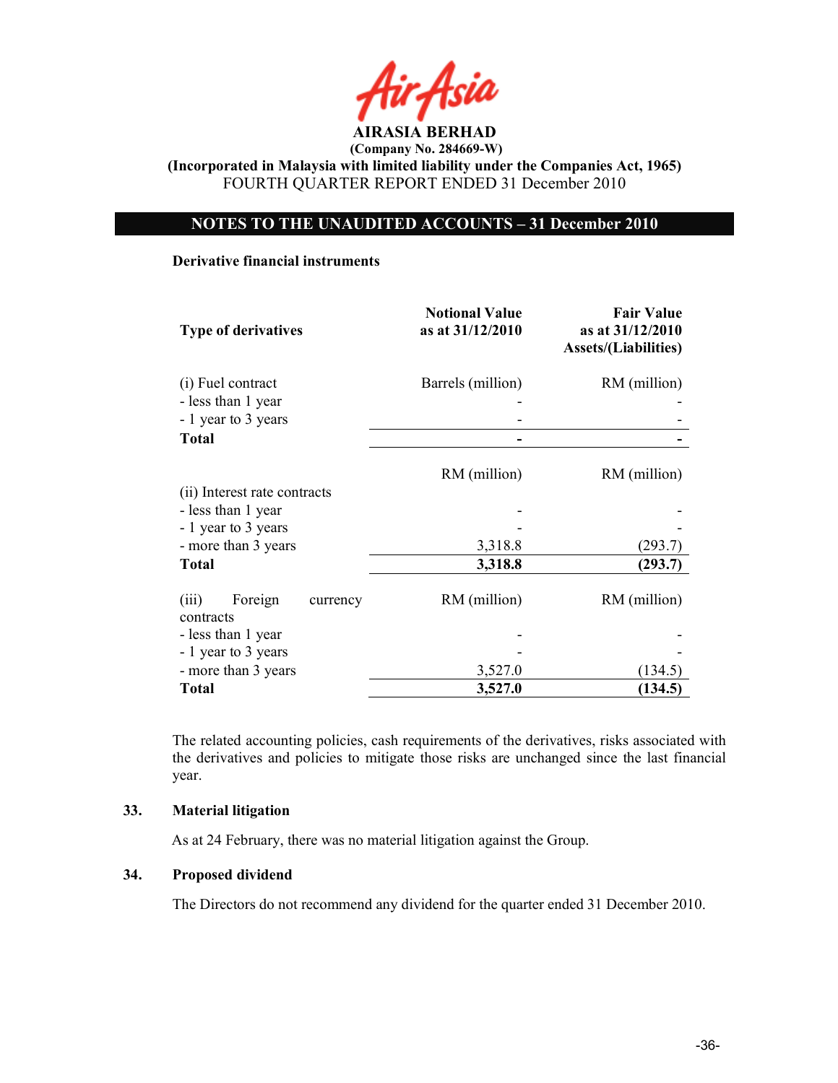

# OTES TO THE UAUDITED ACCOUTS – 31 December 2010

#### Derivative financial instruments

| <b>Type of derivatives</b>                | <b>Notional Value</b><br>as at 31/12/2010 | <b>Fair Value</b><br>as at 31/12/2010<br><b>Assets/(Liabilities)</b> |
|-------------------------------------------|-------------------------------------------|----------------------------------------------------------------------|
| (i) Fuel contract                         | Barrels (million)                         | RM (million)                                                         |
| - less than 1 year                        |                                           |                                                                      |
| - 1 year to 3 years                       |                                           |                                                                      |
| <b>Total</b>                              |                                           |                                                                      |
| (ii) Interest rate contracts              | RM (million)                              | RM (million)                                                         |
| - less than 1 year                        |                                           |                                                                      |
| - 1 year to 3 years                       |                                           |                                                                      |
| - more than 3 years                       | 3,318.8                                   | (293.7)                                                              |
| <b>Total</b>                              | 3,318.8                                   | (293.7)                                                              |
| Foreign<br>(iii)<br>currency<br>contracts | RM (million)                              | RM (million)                                                         |
| - less than 1 year                        |                                           |                                                                      |
| - 1 year to 3 years                       |                                           |                                                                      |
| - more than 3 years                       | 3,527.0                                   | (134.5)                                                              |
| <b>Total</b>                              | 3,527.0                                   | (134.5)                                                              |

The related accounting policies, cash requirements of the derivatives, risks associated with the derivatives and policies to mitigate those risks are unchanged since the last financial year.

## 33. Material litigation

As at 24 February, there was no material litigation against the Group.

## 34. Proposed dividend

The Directors do not recommend any dividend for the quarter ended 31 December 2010.